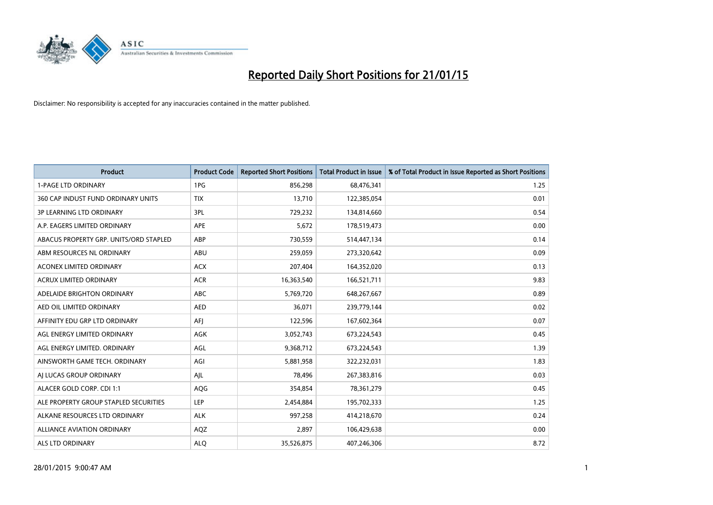

| <b>Product</b>                         | <b>Product Code</b> | <b>Reported Short Positions</b> | <b>Total Product in Issue</b> | % of Total Product in Issue Reported as Short Positions |
|----------------------------------------|---------------------|---------------------------------|-------------------------------|---------------------------------------------------------|
| <b>1-PAGE LTD ORDINARY</b>             | 1PG                 | 856,298                         | 68,476,341                    | 1.25                                                    |
| 360 CAP INDUST FUND ORDINARY UNITS     | <b>TIX</b>          | 13,710                          | 122,385,054                   | 0.01                                                    |
| 3P LEARNING LTD ORDINARY               | 3PL                 | 729,232                         | 134,814,660                   | 0.54                                                    |
| A.P. EAGERS LIMITED ORDINARY           | APE                 | 5,672                           | 178,519,473                   | 0.00                                                    |
| ABACUS PROPERTY GRP. UNITS/ORD STAPLED | ABP                 | 730,559                         | 514,447,134                   | 0.14                                                    |
| ABM RESOURCES NL ORDINARY              | ABU                 | 259,059                         | 273,320,642                   | 0.09                                                    |
| ACONEX LIMITED ORDINARY                | <b>ACX</b>          | 207,404                         | 164,352,020                   | 0.13                                                    |
| ACRUX LIMITED ORDINARY                 | <b>ACR</b>          | 16,363,540                      | 166,521,711                   | 9.83                                                    |
| ADELAIDE BRIGHTON ORDINARY             | <b>ABC</b>          | 5,769,720                       | 648,267,667                   | 0.89                                                    |
| AED OIL LIMITED ORDINARY               | <b>AED</b>          | 36,071                          | 239,779,144                   | 0.02                                                    |
| AFFINITY EDU GRP LTD ORDINARY          | AFJ                 | 122,596                         | 167,602,364                   | 0.07                                                    |
| AGL ENERGY LIMITED ORDINARY            | AGK                 | 3,052,743                       | 673,224,543                   | 0.45                                                    |
| AGL ENERGY LIMITED. ORDINARY           | AGL                 | 9,368,712                       | 673,224,543                   | 1.39                                                    |
| AINSWORTH GAME TECH. ORDINARY          | AGI                 | 5,881,958                       | 322,232,031                   | 1.83                                                    |
| AJ LUCAS GROUP ORDINARY                | AJL                 | 78,496                          | 267,383,816                   | 0.03                                                    |
| ALACER GOLD CORP. CDI 1:1              | AQG                 | 354,854                         | 78,361,279                    | 0.45                                                    |
| ALE PROPERTY GROUP STAPLED SECURITIES  | LEP                 | 2,454,884                       | 195,702,333                   | 1.25                                                    |
| ALKANE RESOURCES LTD ORDINARY          | <b>ALK</b>          | 997,258                         | 414,218,670                   | 0.24                                                    |
| <b>ALLIANCE AVIATION ORDINARY</b>      | AQZ                 | 2,897                           | 106,429,638                   | 0.00                                                    |
| ALS LTD ORDINARY                       | <b>ALQ</b>          | 35,526,875                      | 407,246,306                   | 8.72                                                    |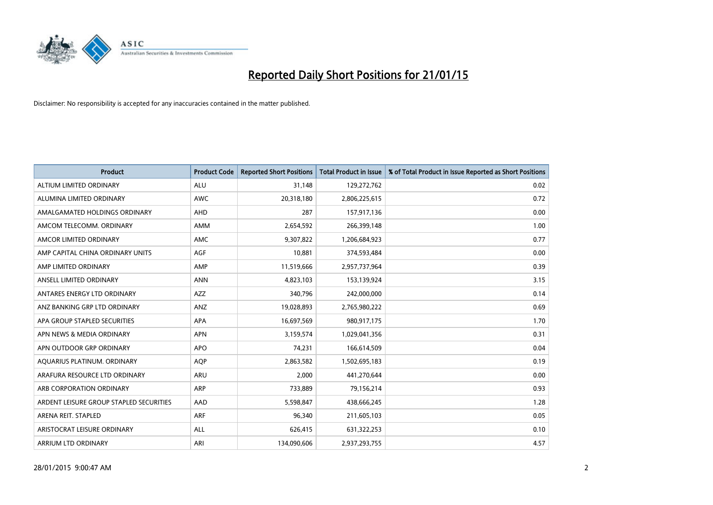

| <b>Product</b>                          | <b>Product Code</b> | <b>Reported Short Positions</b> | <b>Total Product in Issue</b> | % of Total Product in Issue Reported as Short Positions |
|-----------------------------------------|---------------------|---------------------------------|-------------------------------|---------------------------------------------------------|
| ALTIUM LIMITED ORDINARY                 | <b>ALU</b>          | 31,148                          | 129,272,762                   | 0.02                                                    |
| ALUMINA LIMITED ORDINARY                | AWC                 | 20,318,180                      | 2,806,225,615                 | 0.72                                                    |
| AMALGAMATED HOLDINGS ORDINARY           | AHD                 | 287                             | 157,917,136                   | 0.00                                                    |
| AMCOM TELECOMM. ORDINARY                | AMM                 | 2,654,592                       | 266,399,148                   | 1.00                                                    |
| AMCOR LIMITED ORDINARY                  | AMC                 | 9,307,822                       | 1,206,684,923                 | 0.77                                                    |
| AMP CAPITAL CHINA ORDINARY UNITS        | <b>AGF</b>          | 10,881                          | 374,593,484                   | 0.00                                                    |
| AMP LIMITED ORDINARY                    | AMP                 | 11,519,666                      | 2,957,737,964                 | 0.39                                                    |
| ANSELL LIMITED ORDINARY                 | <b>ANN</b>          | 4,823,103                       | 153,139,924                   | 3.15                                                    |
| ANTARES ENERGY LTD ORDINARY             | <b>AZZ</b>          | 340,796                         | 242,000,000                   | 0.14                                                    |
| ANZ BANKING GRP LTD ORDINARY            | ANZ                 | 19,028,893                      | 2,765,980,222                 | 0.69                                                    |
| APA GROUP STAPLED SECURITIES            | APA                 | 16,697,569                      | 980,917,175                   | 1.70                                                    |
| APN NEWS & MEDIA ORDINARY               | <b>APN</b>          | 3,159,574                       | 1,029,041,356                 | 0.31                                                    |
| APN OUTDOOR GRP ORDINARY                | <b>APO</b>          | 74,231                          | 166,614,509                   | 0.04                                                    |
| AQUARIUS PLATINUM. ORDINARY             | <b>AOP</b>          | 2,863,582                       | 1,502,695,183                 | 0.19                                                    |
| ARAFURA RESOURCE LTD ORDINARY           | <b>ARU</b>          | 2,000                           | 441,270,644                   | 0.00                                                    |
| ARB CORPORATION ORDINARY                | ARP                 | 733,889                         | 79,156,214                    | 0.93                                                    |
| ARDENT LEISURE GROUP STAPLED SECURITIES | AAD                 | 5,598,847                       | 438,666,245                   | 1.28                                                    |
| ARENA REIT. STAPLED                     | <b>ARF</b>          | 96,340                          | 211,605,103                   | 0.05                                                    |
| ARISTOCRAT LEISURE ORDINARY             | ALL                 | 626,415                         | 631,322,253                   | 0.10                                                    |
| ARRIUM LTD ORDINARY                     | ARI                 | 134,090,606                     | 2,937,293,755                 | 4.57                                                    |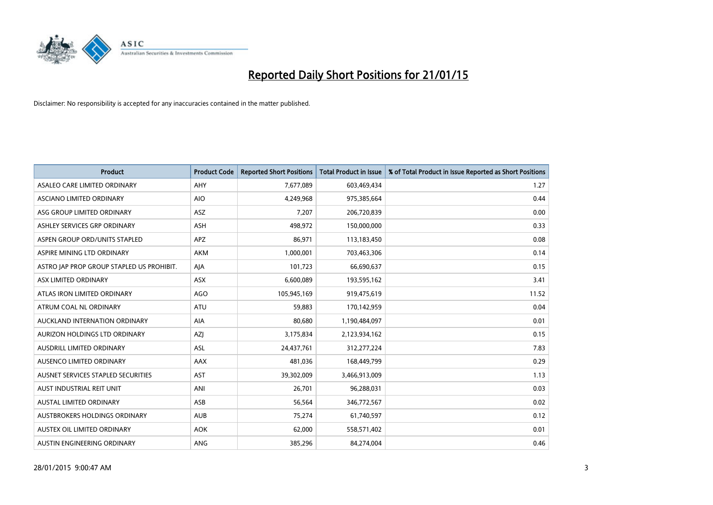

| <b>Product</b>                            | <b>Product Code</b> | <b>Reported Short Positions</b> | <b>Total Product in Issue</b> | % of Total Product in Issue Reported as Short Positions |
|-------------------------------------------|---------------------|---------------------------------|-------------------------------|---------------------------------------------------------|
| ASALEO CARE LIMITED ORDINARY              | AHY                 | 7,677,089                       | 603,469,434                   | 1.27                                                    |
| ASCIANO LIMITED ORDINARY                  | <b>AIO</b>          | 4,249,968                       | 975,385,664                   | 0.44                                                    |
| ASG GROUP LIMITED ORDINARY                | ASZ                 | 7,207                           | 206,720,839                   | 0.00                                                    |
| ASHLEY SERVICES GRP ORDINARY              | ASH                 | 498,972                         | 150,000,000                   | 0.33                                                    |
| ASPEN GROUP ORD/UNITS STAPLED             | <b>APZ</b>          | 86,971                          | 113,183,450                   | 0.08                                                    |
| ASPIRE MINING LTD ORDINARY                | <b>AKM</b>          | 1,000,001                       | 703,463,306                   | 0.14                                                    |
| ASTRO JAP PROP GROUP STAPLED US PROHIBIT. | AJA                 | 101,723                         | 66,690,637                    | 0.15                                                    |
| ASX LIMITED ORDINARY                      | ASX                 | 6,600,089                       | 193,595,162                   | 3.41                                                    |
| ATLAS IRON LIMITED ORDINARY               | <b>AGO</b>          | 105,945,169                     | 919,475,619                   | 11.52                                                   |
| ATRUM COAL NL ORDINARY                    | <b>ATU</b>          | 59,883                          | 170,142,959                   | 0.04                                                    |
| AUCKLAND INTERNATION ORDINARY             | AIA                 | 80,680                          | 1,190,484,097                 | 0.01                                                    |
| AURIZON HOLDINGS LTD ORDINARY             | AZJ                 | 3,175,834                       | 2,123,934,162                 | 0.15                                                    |
| AUSDRILL LIMITED ORDINARY                 | ASL                 | 24,437,761                      | 312,277,224                   | 7.83                                                    |
| AUSENCO LIMITED ORDINARY                  | AAX                 | 481,036                         | 168,449,799                   | 0.29                                                    |
| AUSNET SERVICES STAPLED SECURITIES        | <b>AST</b>          | 39,302,009                      | 3,466,913,009                 | 1.13                                                    |
| AUST INDUSTRIAL REIT UNIT                 | ANI                 | 26,701                          | 96,288,031                    | 0.03                                                    |
| AUSTAL LIMITED ORDINARY                   | ASB                 | 56,564                          | 346,772,567                   | 0.02                                                    |
| AUSTBROKERS HOLDINGS ORDINARY             | <b>AUB</b>          | 75,274                          | 61,740,597                    | 0.12                                                    |
| AUSTEX OIL LIMITED ORDINARY               | <b>AOK</b>          | 62,000                          | 558,571,402                   | 0.01                                                    |
| AUSTIN ENGINEERING ORDINARY               | ANG                 | 385,296                         | 84,274,004                    | 0.46                                                    |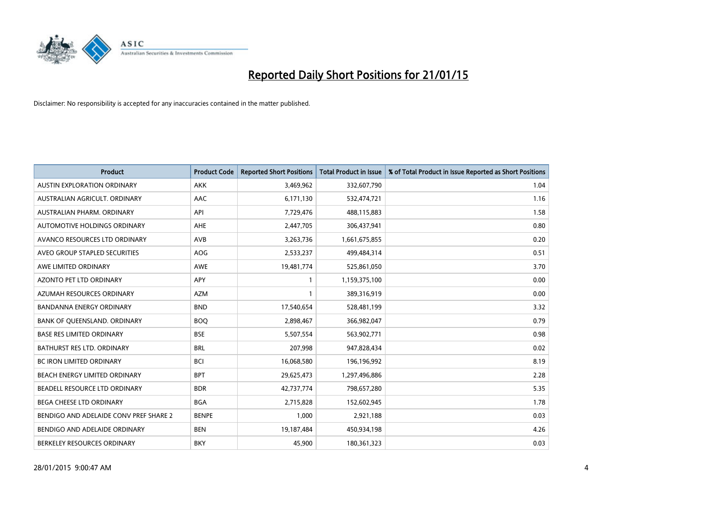

| <b>Product</b>                         | <b>Product Code</b> | <b>Reported Short Positions</b> | <b>Total Product in Issue</b> | % of Total Product in Issue Reported as Short Positions |
|----------------------------------------|---------------------|---------------------------------|-------------------------------|---------------------------------------------------------|
| <b>AUSTIN EXPLORATION ORDINARY</b>     | <b>AKK</b>          | 3,469,962                       | 332,607,790                   | 1.04                                                    |
| AUSTRALIAN AGRICULT. ORDINARY          | AAC                 | 6,171,130                       | 532,474,721                   | 1.16                                                    |
| AUSTRALIAN PHARM, ORDINARY             | API                 | 7,729,476                       | 488,115,883                   | 1.58                                                    |
| AUTOMOTIVE HOLDINGS ORDINARY           | AHE                 | 2,447,705                       | 306,437,941                   | 0.80                                                    |
| AVANCO RESOURCES LTD ORDINARY          | AVB                 | 3,263,736                       | 1,661,675,855                 | 0.20                                                    |
| AVEO GROUP STAPLED SECURITIES          | AOG                 | 2,533,237                       | 499,484,314                   | 0.51                                                    |
| AWE LIMITED ORDINARY                   | <b>AWE</b>          | 19,481,774                      | 525,861,050                   | 3.70                                                    |
| AZONTO PET LTD ORDINARY                | APY                 | $\mathbf{1}$                    | 1,159,375,100                 | 0.00                                                    |
| AZUMAH RESOURCES ORDINARY              | <b>AZM</b>          | $\mathbf{1}$                    | 389,316,919                   | 0.00                                                    |
| <b>BANDANNA ENERGY ORDINARY</b>        | <b>BND</b>          | 17,540,654                      | 528,481,199                   | 3.32                                                    |
| BANK OF QUEENSLAND. ORDINARY           | <b>BOQ</b>          | 2,898,467                       | 366,982,047                   | 0.79                                                    |
| <b>BASE RES LIMITED ORDINARY</b>       | <b>BSE</b>          | 5,507,554                       | 563,902,771                   | 0.98                                                    |
| <b>BATHURST RES LTD. ORDINARY</b>      | <b>BRL</b>          | 207,998                         | 947,828,434                   | 0.02                                                    |
| <b>BC IRON LIMITED ORDINARY</b>        | <b>BCI</b>          | 16,068,580                      | 196,196,992                   | 8.19                                                    |
| BEACH ENERGY LIMITED ORDINARY          | <b>BPT</b>          | 29,625,473                      | 1,297,496,886                 | 2.28                                                    |
| BEADELL RESOURCE LTD ORDINARY          | <b>BDR</b>          | 42,737,774                      | 798,657,280                   | 5.35                                                    |
| BEGA CHEESE LTD ORDINARY               | <b>BGA</b>          | 2,715,828                       | 152,602,945                   | 1.78                                                    |
| BENDIGO AND ADELAIDE CONV PREF SHARE 2 | <b>BENPE</b>        | 1,000                           | 2,921,188                     | 0.03                                                    |
| BENDIGO AND ADELAIDE ORDINARY          | <b>BEN</b>          | 19,187,484                      | 450,934,198                   | 4.26                                                    |
| BERKELEY RESOURCES ORDINARY            | <b>BKY</b>          | 45,900                          | 180,361,323                   | 0.03                                                    |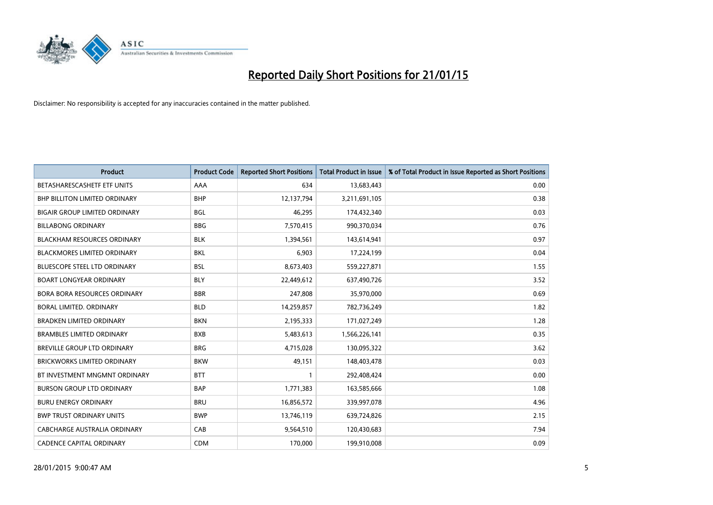

| <b>Product</b>                       | <b>Product Code</b> | <b>Reported Short Positions</b> | <b>Total Product in Issue</b> | % of Total Product in Issue Reported as Short Positions |
|--------------------------------------|---------------------|---------------------------------|-------------------------------|---------------------------------------------------------|
| BETASHARESCASHETF ETF UNITS          | AAA                 | 634                             | 13,683,443                    | 0.00                                                    |
| <b>BHP BILLITON LIMITED ORDINARY</b> | <b>BHP</b>          | 12,137,794                      | 3,211,691,105                 | 0.38                                                    |
| <b>BIGAIR GROUP LIMITED ORDINARY</b> | <b>BGL</b>          | 46,295                          | 174,432,340                   | 0.03                                                    |
| <b>BILLABONG ORDINARY</b>            | <b>BBG</b>          | 7,570,415                       | 990,370,034                   | 0.76                                                    |
| <b>BLACKHAM RESOURCES ORDINARY</b>   | <b>BLK</b>          | 1,394,561                       | 143,614,941                   | 0.97                                                    |
| <b>BLACKMORES LIMITED ORDINARY</b>   | <b>BKL</b>          | 6,903                           | 17,224,199                    | 0.04                                                    |
| BLUESCOPE STEEL LTD ORDINARY         | <b>BSL</b>          | 8,673,403                       | 559,227,871                   | 1.55                                                    |
| <b>BOART LONGYEAR ORDINARY</b>       | <b>BLY</b>          | 22,449,612                      | 637,490,726                   | 3.52                                                    |
| <b>BORA BORA RESOURCES ORDINARY</b>  | <b>BBR</b>          | 247,808                         | 35,970,000                    | 0.69                                                    |
| <b>BORAL LIMITED, ORDINARY</b>       | <b>BLD</b>          | 14,259,857                      | 782,736,249                   | 1.82                                                    |
| BRADKEN LIMITED ORDINARY             | <b>BKN</b>          | 2,195,333                       | 171,027,249                   | 1.28                                                    |
| <b>BRAMBLES LIMITED ORDINARY</b>     | <b>BXB</b>          | 5,483,613                       | 1,566,226,141                 | 0.35                                                    |
| BREVILLE GROUP LTD ORDINARY          | <b>BRG</b>          | 4,715,028                       | 130,095,322                   | 3.62                                                    |
| <b>BRICKWORKS LIMITED ORDINARY</b>   | <b>BKW</b>          | 49,151                          | 148,403,478                   | 0.03                                                    |
| BT INVESTMENT MNGMNT ORDINARY        | <b>BTT</b>          | $\mathbf{1}$                    | 292,408,424                   | 0.00                                                    |
| <b>BURSON GROUP LTD ORDINARY</b>     | <b>BAP</b>          | 1,771,383                       | 163,585,666                   | 1.08                                                    |
| <b>BURU ENERGY ORDINARY</b>          | <b>BRU</b>          | 16,856,572                      | 339,997,078                   | 4.96                                                    |
| <b>BWP TRUST ORDINARY UNITS</b>      | <b>BWP</b>          | 13,746,119                      | 639,724,826                   | 2.15                                                    |
| CABCHARGE AUSTRALIA ORDINARY         | CAB                 | 9,564,510                       | 120,430,683                   | 7.94                                                    |
| <b>CADENCE CAPITAL ORDINARY</b>      | <b>CDM</b>          | 170,000                         | 199,910,008                   | 0.09                                                    |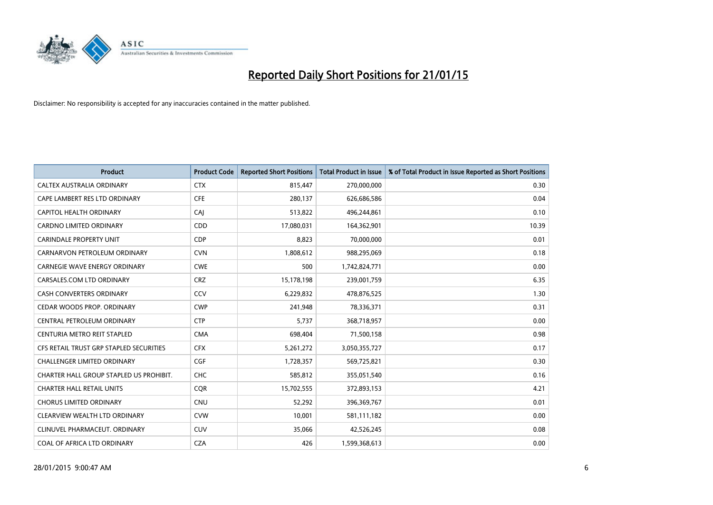

| <b>Product</b>                          | <b>Product Code</b> | <b>Reported Short Positions</b> | <b>Total Product in Issue</b> | % of Total Product in Issue Reported as Short Positions |
|-----------------------------------------|---------------------|---------------------------------|-------------------------------|---------------------------------------------------------|
| CALTEX AUSTRALIA ORDINARY               | <b>CTX</b>          | 815,447                         | 270,000,000                   | 0.30                                                    |
| CAPE LAMBERT RES LTD ORDINARY           | <b>CFE</b>          | 280,137                         | 626,686,586                   | 0.04                                                    |
| CAPITOL HEALTH ORDINARY                 | <b>CAJ</b>          | 513,822                         | 496,244,861                   | 0.10                                                    |
| CARDNO LIMITED ORDINARY                 | CDD                 | 17,080,031                      | 164,362,901                   | 10.39                                                   |
| <b>CARINDALE PROPERTY UNIT</b>          | <b>CDP</b>          | 8,823                           | 70,000,000                    | 0.01                                                    |
| CARNARVON PETROLEUM ORDINARY            | <b>CVN</b>          | 1,808,612                       | 988,295,069                   | 0.18                                                    |
| <b>CARNEGIE WAVE ENERGY ORDINARY</b>    | <b>CWE</b>          | 500                             | 1,742,824,771                 | 0.00                                                    |
| CARSALES.COM LTD ORDINARY               | <b>CRZ</b>          | 15,178,198                      | 239,001,759                   | 6.35                                                    |
| <b>CASH CONVERTERS ORDINARY</b>         | CCV                 | 6,229,832                       | 478,876,525                   | 1.30                                                    |
| CEDAR WOODS PROP. ORDINARY              | <b>CWP</b>          | 241,948                         | 78,336,371                    | 0.31                                                    |
| CENTRAL PETROLEUM ORDINARY              | <b>CTP</b>          | 5,737                           | 368,718,957                   | 0.00                                                    |
| CENTURIA METRO REIT STAPLED             | <b>CMA</b>          | 698,404                         | 71,500,158                    | 0.98                                                    |
| CFS RETAIL TRUST GRP STAPLED SECURITIES | <b>CFX</b>          | 5,261,272                       | 3,050,355,727                 | 0.17                                                    |
| <b>CHALLENGER LIMITED ORDINARY</b>      | <b>CGF</b>          | 1,728,357                       | 569,725,821                   | 0.30                                                    |
| CHARTER HALL GROUP STAPLED US PROHIBIT. | <b>CHC</b>          | 585,812                         | 355,051,540                   | 0.16                                                    |
| <b>CHARTER HALL RETAIL UNITS</b>        | <b>CQR</b>          | 15,702,555                      | 372,893,153                   | 4.21                                                    |
| <b>CHORUS LIMITED ORDINARY</b>          | <b>CNU</b>          | 52,292                          | 396,369,767                   | 0.01                                                    |
| CLEARVIEW WEALTH LTD ORDINARY           | <b>CVW</b>          | 10,001                          | 581,111,182                   | 0.00                                                    |
| CLINUVEL PHARMACEUT, ORDINARY           | <b>CUV</b>          | 35,066                          | 42,526,245                    | 0.08                                                    |
| COAL OF AFRICA LTD ORDINARY             | <b>CZA</b>          | 426                             | 1,599,368,613                 | 0.00                                                    |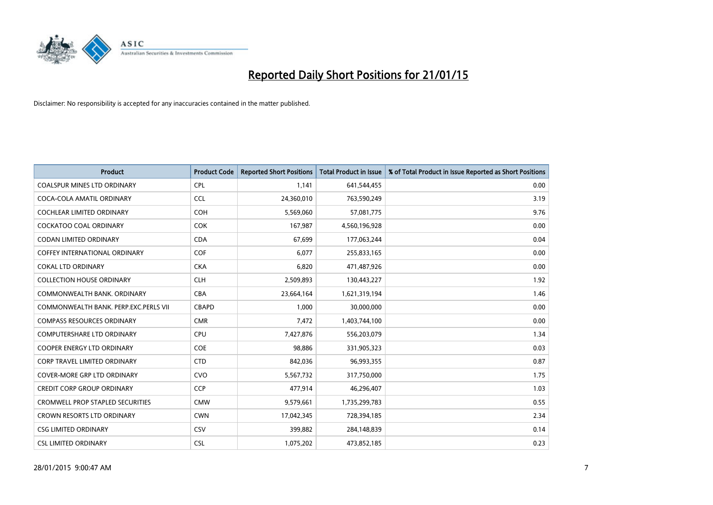

| <b>Product</b>                          | <b>Product Code</b> | <b>Reported Short Positions</b> | <b>Total Product in Issue</b> | % of Total Product in Issue Reported as Short Positions |
|-----------------------------------------|---------------------|---------------------------------|-------------------------------|---------------------------------------------------------|
| <b>COALSPUR MINES LTD ORDINARY</b>      | <b>CPL</b>          | 1,141                           | 641,544,455                   | 0.00                                                    |
| COCA-COLA AMATIL ORDINARY               | <b>CCL</b>          | 24,360,010                      | 763,590,249                   | 3.19                                                    |
| <b>COCHLEAR LIMITED ORDINARY</b>        | <b>COH</b>          | 5,569,060                       | 57,081,775                    | 9.76                                                    |
| COCKATOO COAL ORDINARY                  | <b>COK</b>          | 167,987                         | 4,560,196,928                 | 0.00                                                    |
| <b>CODAN LIMITED ORDINARY</b>           | <b>CDA</b>          | 67,699                          | 177,063,244                   | 0.04                                                    |
| <b>COFFEY INTERNATIONAL ORDINARY</b>    | COF                 | 6,077                           | 255,833,165                   | 0.00                                                    |
| <b>COKAL LTD ORDINARY</b>               | <b>CKA</b>          | 6,820                           | 471,487,926                   | 0.00                                                    |
| <b>COLLECTION HOUSE ORDINARY</b>        | <b>CLH</b>          | 2,509,893                       | 130,443,227                   | 1.92                                                    |
| COMMONWEALTH BANK, ORDINARY             | <b>CBA</b>          | 23,664,164                      | 1,621,319,194                 | 1.46                                                    |
| COMMONWEALTH BANK, PERP.EXC.PERLS VII   | <b>CBAPD</b>        | 1,000                           | 30,000,000                    | 0.00                                                    |
| <b>COMPASS RESOURCES ORDINARY</b>       | <b>CMR</b>          | 7,472                           | 1,403,744,100                 | 0.00                                                    |
| <b>COMPUTERSHARE LTD ORDINARY</b>       | <b>CPU</b>          | 7,427,876                       | 556,203,079                   | 1.34                                                    |
| COOPER ENERGY LTD ORDINARY              | <b>COE</b>          | 98,886                          | 331,905,323                   | 0.03                                                    |
| <b>CORP TRAVEL LIMITED ORDINARY</b>     | <b>CTD</b>          | 842,036                         | 96,993,355                    | 0.87                                                    |
| <b>COVER-MORE GRP LTD ORDINARY</b>      | <b>CVO</b>          | 5,567,732                       | 317,750,000                   | 1.75                                                    |
| <b>CREDIT CORP GROUP ORDINARY</b>       | <b>CCP</b>          | 477,914                         | 46,296,407                    | 1.03                                                    |
| <b>CROMWELL PROP STAPLED SECURITIES</b> | <b>CMW</b>          | 9,579,661                       | 1,735,299,783                 | 0.55                                                    |
| CROWN RESORTS LTD ORDINARY              | <b>CWN</b>          | 17,042,345                      | 728,394,185                   | 2.34                                                    |
| <b>CSG LIMITED ORDINARY</b>             | CSV                 | 399,882                         | 284,148,839                   | 0.14                                                    |
| <b>CSL LIMITED ORDINARY</b>             | <b>CSL</b>          | 1,075,202                       | 473,852,185                   | 0.23                                                    |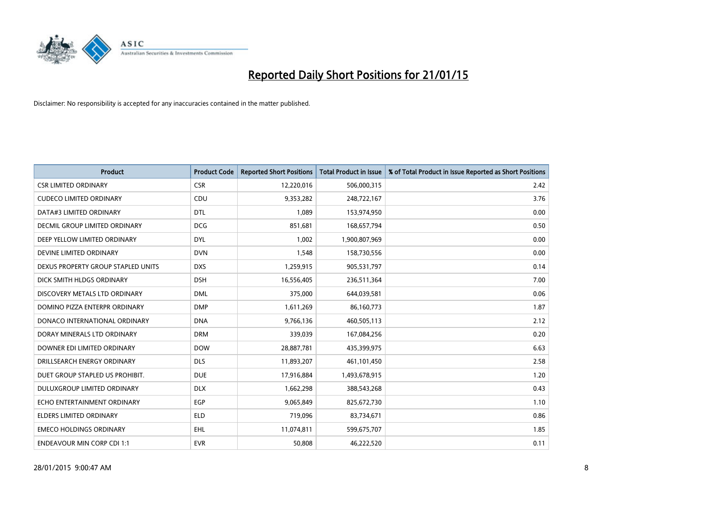

| <b>Product</b>                     | <b>Product Code</b> | <b>Reported Short Positions</b> | <b>Total Product in Issue</b> | % of Total Product in Issue Reported as Short Positions |
|------------------------------------|---------------------|---------------------------------|-------------------------------|---------------------------------------------------------|
| <b>CSR LIMITED ORDINARY</b>        | <b>CSR</b>          | 12,220,016                      | 506,000,315                   | 2.42                                                    |
| <b>CUDECO LIMITED ORDINARY</b>     | <b>CDU</b>          | 9,353,282                       | 248,722,167                   | 3.76                                                    |
| DATA#3 LIMITED ORDINARY            | <b>DTL</b>          | 1,089                           | 153,974,950                   | 0.00                                                    |
| DECMIL GROUP LIMITED ORDINARY      | <b>DCG</b>          | 851,681                         | 168,657,794                   | 0.50                                                    |
| DEEP YELLOW LIMITED ORDINARY       | <b>DYL</b>          | 1,002                           | 1,900,807,969                 | 0.00                                                    |
| DEVINE LIMITED ORDINARY            | <b>DVN</b>          | 1,548                           | 158,730,556                   | 0.00                                                    |
| DEXUS PROPERTY GROUP STAPLED UNITS | <b>DXS</b>          | 1,259,915                       | 905,531,797                   | 0.14                                                    |
| DICK SMITH HLDGS ORDINARY          | <b>DSH</b>          | 16,556,405                      | 236,511,364                   | 7.00                                                    |
| DISCOVERY METALS LTD ORDINARY      | <b>DML</b>          | 375,000                         | 644,039,581                   | 0.06                                                    |
| DOMINO PIZZA ENTERPR ORDINARY      | <b>DMP</b>          | 1,611,269                       | 86,160,773                    | 1.87                                                    |
| DONACO INTERNATIONAL ORDINARY      | <b>DNA</b>          | 9,766,136                       | 460,505,113                   | 2.12                                                    |
| DORAY MINERALS LTD ORDINARY        | <b>DRM</b>          | 339,039                         | 167,084,256                   | 0.20                                                    |
| DOWNER EDI LIMITED ORDINARY        | <b>DOW</b>          | 28,887,781                      | 435,399,975                   | 6.63                                                    |
| DRILLSEARCH ENERGY ORDINARY        | <b>DLS</b>          | 11,893,207                      | 461,101,450                   | 2.58                                                    |
| DUET GROUP STAPLED US PROHIBIT.    | <b>DUE</b>          | 17,916,884                      | 1,493,678,915                 | 1.20                                                    |
| DULUXGROUP LIMITED ORDINARY        | <b>DLX</b>          | 1,662,298                       | 388,543,268                   | 0.43                                                    |
| ECHO ENTERTAINMENT ORDINARY        | EGP                 | 9,065,849                       | 825,672,730                   | 1.10                                                    |
| <b>ELDERS LIMITED ORDINARY</b>     | <b>ELD</b>          | 719,096                         | 83,734,671                    | 0.86                                                    |
| <b>EMECO HOLDINGS ORDINARY</b>     | <b>EHL</b>          | 11,074,811                      | 599,675,707                   | 1.85                                                    |
| <b>ENDEAVOUR MIN CORP CDI 1:1</b>  | <b>EVR</b>          | 50,808                          | 46,222,520                    | 0.11                                                    |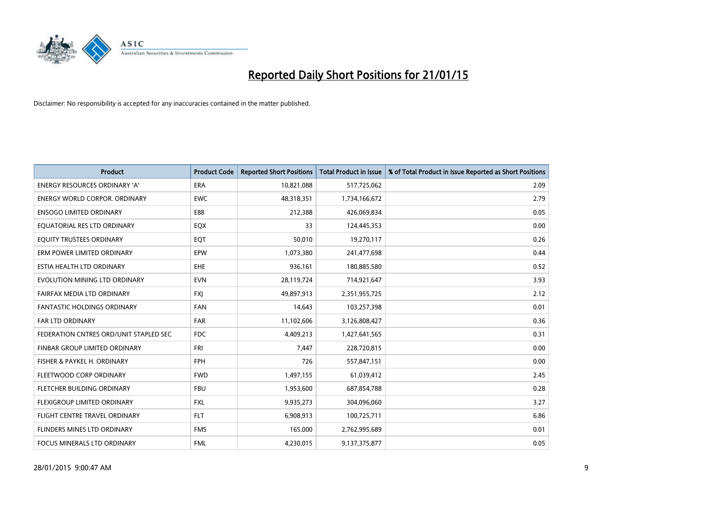

| <b>Product</b>                         | <b>Product Code</b> | <b>Reported Short Positions</b> | <b>Total Product in Issue</b> | % of Total Product in Issue Reported as Short Positions |
|----------------------------------------|---------------------|---------------------------------|-------------------------------|---------------------------------------------------------|
| <b>ENERGY RESOURCES ORDINARY 'A'</b>   | <b>ERA</b>          | 10,821,088                      | 517,725,062                   | 2.09                                                    |
| ENERGY WORLD CORPOR. ORDINARY          | <b>EWC</b>          | 48,318,351                      | 1,734,166,672                 | 2.79                                                    |
| <b>ENSOGO LIMITED ORDINARY</b>         | E88                 | 212,388                         | 426,069,834                   | 0.05                                                    |
| EQUATORIAL RES LTD ORDINARY            | EQX                 | 33                              | 124,445,353                   | 0.00                                                    |
| EQUITY TRUSTEES ORDINARY               | EQT                 | 50,010                          | 19,270,117                    | 0.26                                                    |
| ERM POWER LIMITED ORDINARY             | EPW                 | 1,073,380                       | 241,477,698                   | 0.44                                                    |
| ESTIA HEALTH LTD ORDINARY              | <b>EHE</b>          | 936,161                         | 180,885,580                   | 0.52                                                    |
| EVOLUTION MINING LTD ORDINARY          | <b>EVN</b>          | 28,119,724                      | 714,921,647                   | 3.93                                                    |
| FAIRFAX MEDIA LTD ORDINARY             | <b>FXI</b>          | 49,897,913                      | 2,351,955,725                 | 2.12                                                    |
| <b>FANTASTIC HOLDINGS ORDINARY</b>     | <b>FAN</b>          | 14,643                          | 103,257,398                   | 0.01                                                    |
| FAR LTD ORDINARY                       | <b>FAR</b>          | 11,102,606                      | 3,126,808,427                 | 0.36                                                    |
| FEDERATION CNTRES ORD/UNIT STAPLED SEC | FDC                 | 4,409,213                       | 1,427,641,565                 | 0.31                                                    |
| FINBAR GROUP LIMITED ORDINARY          | <b>FRI</b>          | 7,447                           | 228,720,815                   | 0.00                                                    |
| FISHER & PAYKEL H. ORDINARY            | <b>FPH</b>          | 726                             | 557,847,151                   | 0.00                                                    |
| FLEETWOOD CORP ORDINARY                | <b>FWD</b>          | 1,497,155                       | 61,039,412                    | 2.45                                                    |
| FLETCHER BUILDING ORDINARY             | <b>FBU</b>          | 1,953,600                       | 687,854,788                   | 0.28                                                    |
| FLEXIGROUP LIMITED ORDINARY            | FXL                 | 9,935,273                       | 304,096,060                   | 3.27                                                    |
| FLIGHT CENTRE TRAVEL ORDINARY          | <b>FLT</b>          | 6,908,913                       | 100,725,711                   | 6.86                                                    |
| FLINDERS MINES LTD ORDINARY            | <b>FMS</b>          | 165,000                         | 2,762,995,689                 | 0.01                                                    |
| FOCUS MINERALS LTD ORDINARY            | <b>FML</b>          | 4,230,015                       | 9,137,375,877                 | 0.05                                                    |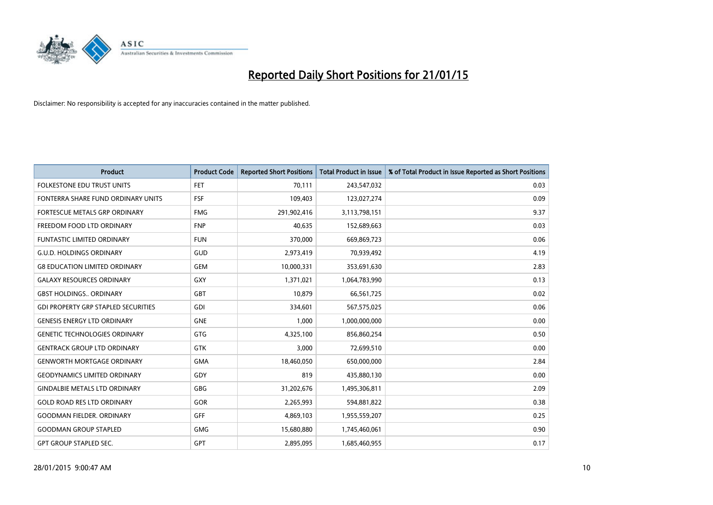

| Product                                    | <b>Product Code</b> | <b>Reported Short Positions</b> | Total Product in Issue | % of Total Product in Issue Reported as Short Positions |
|--------------------------------------------|---------------------|---------------------------------|------------------------|---------------------------------------------------------|
| <b>FOLKESTONE EDU TRUST UNITS</b>          | <b>FET</b>          | 70,111                          | 243,547,032            | 0.03                                                    |
| FONTERRA SHARE FUND ORDINARY UNITS         | <b>FSF</b>          | 109,403                         | 123,027,274            | 0.09                                                    |
| <b>FORTESCUE METALS GRP ORDINARY</b>       | <b>FMG</b>          | 291,902,416                     | 3,113,798,151          | 9.37                                                    |
| FREEDOM FOOD LTD ORDINARY                  | <b>FNP</b>          | 40,635                          | 152,689,663            | 0.03                                                    |
| <b>FUNTASTIC LIMITED ORDINARY</b>          | <b>FUN</b>          | 370,000                         | 669,869,723            | 0.06                                                    |
| <b>G.U.D. HOLDINGS ORDINARY</b>            | <b>GUD</b>          | 2,973,419                       | 70,939,492             | 4.19                                                    |
| <b>G8 EDUCATION LIMITED ORDINARY</b>       | <b>GEM</b>          | 10,000,331                      | 353,691,630            | 2.83                                                    |
| <b>GALAXY RESOURCES ORDINARY</b>           | <b>GXY</b>          | 1,371,021                       | 1,064,783,990          | 0.13                                                    |
| <b>GBST HOLDINGS., ORDINARY</b>            | GBT                 | 10,879                          | 66,561,725             | 0.02                                                    |
| <b>GDI PROPERTY GRP STAPLED SECURITIES</b> | GDI                 | 334,601                         | 567,575,025            | 0.06                                                    |
| <b>GENESIS ENERGY LTD ORDINARY</b>         | <b>GNE</b>          | 1,000                           | 1,000,000,000          | 0.00                                                    |
| <b>GENETIC TECHNOLOGIES ORDINARY</b>       | <b>GTG</b>          | 4,325,100                       | 856,860,254            | 0.50                                                    |
| <b>GENTRACK GROUP LTD ORDINARY</b>         | GTK                 | 3,000                           | 72,699,510             | 0.00                                                    |
| <b>GENWORTH MORTGAGE ORDINARY</b>          | <b>GMA</b>          | 18,460,050                      | 650,000,000            | 2.84                                                    |
| <b>GEODYNAMICS LIMITED ORDINARY</b>        | GDY                 | 819                             | 435,880,130            | 0.00                                                    |
| <b>GINDALBIE METALS LTD ORDINARY</b>       | GBG                 | 31,202,676                      | 1,495,306,811          | 2.09                                                    |
| <b>GOLD ROAD RES LTD ORDINARY</b>          | GOR                 | 2,265,993                       | 594,881,822            | 0.38                                                    |
| <b>GOODMAN FIELDER, ORDINARY</b>           | GFF                 | 4,869,103                       | 1,955,559,207          | 0.25                                                    |
| <b>GOODMAN GROUP STAPLED</b>               | <b>GMG</b>          | 15,680,880                      | 1,745,460,061          | 0.90                                                    |
| <b>GPT GROUP STAPLED SEC.</b>              | GPT                 | 2,895,095                       | 1,685,460,955          | 0.17                                                    |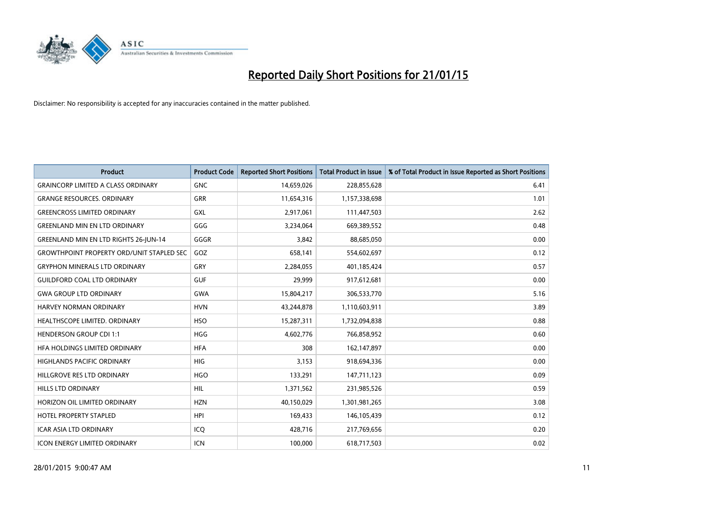

| <b>Product</b>                                   | <b>Product Code</b> | <b>Reported Short Positions</b> | <b>Total Product in Issue</b> | % of Total Product in Issue Reported as Short Positions |
|--------------------------------------------------|---------------------|---------------------------------|-------------------------------|---------------------------------------------------------|
| <b>GRAINCORP LIMITED A CLASS ORDINARY</b>        | <b>GNC</b>          | 14,659,026                      | 228,855,628                   | 6.41                                                    |
| <b>GRANGE RESOURCES. ORDINARY</b>                | <b>GRR</b>          | 11,654,316                      | 1,157,338,698                 | 1.01                                                    |
| <b>GREENCROSS LIMITED ORDINARY</b>               | <b>GXL</b>          | 2,917,061                       | 111,447,503                   | 2.62                                                    |
| <b>GREENLAND MIN EN LTD ORDINARY</b>             | GGG                 | 3,234,064                       | 669,389,552                   | 0.48                                                    |
| <b>GREENLAND MIN EN LTD RIGHTS 26-JUN-14</b>     | GGGR                | 3,842                           | 88,685,050                    | 0.00                                                    |
| <b>GROWTHPOINT PROPERTY ORD/UNIT STAPLED SEC</b> | GOZ                 | 658,141                         | 554,602,697                   | 0.12                                                    |
| <b>GRYPHON MINERALS LTD ORDINARY</b>             | GRY                 | 2,284,055                       | 401,185,424                   | 0.57                                                    |
| <b>GUILDFORD COAL LTD ORDINARY</b>               | <b>GUF</b>          | 29,999                          | 917,612,681                   | 0.00                                                    |
| <b>GWA GROUP LTD ORDINARY</b>                    | <b>GWA</b>          | 15,804,217                      | 306,533,770                   | 5.16                                                    |
| <b>HARVEY NORMAN ORDINARY</b>                    | <b>HVN</b>          | 43,244,878                      | 1,110,603,911                 | 3.89                                                    |
| HEALTHSCOPE LIMITED. ORDINARY                    | <b>HSO</b>          | 15,287,311                      | 1,732,094,838                 | 0.88                                                    |
| <b>HENDERSON GROUP CDI 1:1</b>                   | <b>HGG</b>          | 4,602,776                       | 766,858,952                   | 0.60                                                    |
| HFA HOLDINGS LIMITED ORDINARY                    | <b>HFA</b>          | 308                             | 162,147,897                   | 0.00                                                    |
| <b>HIGHLANDS PACIFIC ORDINARY</b>                | <b>HIG</b>          | 3,153                           | 918,694,336                   | 0.00                                                    |
| HILLGROVE RES LTD ORDINARY                       | <b>HGO</b>          | 133,291                         | 147,711,123                   | 0.09                                                    |
| <b>HILLS LTD ORDINARY</b>                        | <b>HIL</b>          | 1,371,562                       | 231,985,526                   | 0.59                                                    |
| HORIZON OIL LIMITED ORDINARY                     | <b>HZN</b>          | 40,150,029                      | 1,301,981,265                 | 3.08                                                    |
| <b>HOTEL PROPERTY STAPLED</b>                    | <b>HPI</b>          | 169,433                         | 146, 105, 439                 | 0.12                                                    |
| <b>ICAR ASIA LTD ORDINARY</b>                    | ICQ                 | 428,716                         | 217,769,656                   | 0.20                                                    |
| <b>ICON ENERGY LIMITED ORDINARY</b>              | ICN                 | 100,000                         | 618,717,503                   | 0.02                                                    |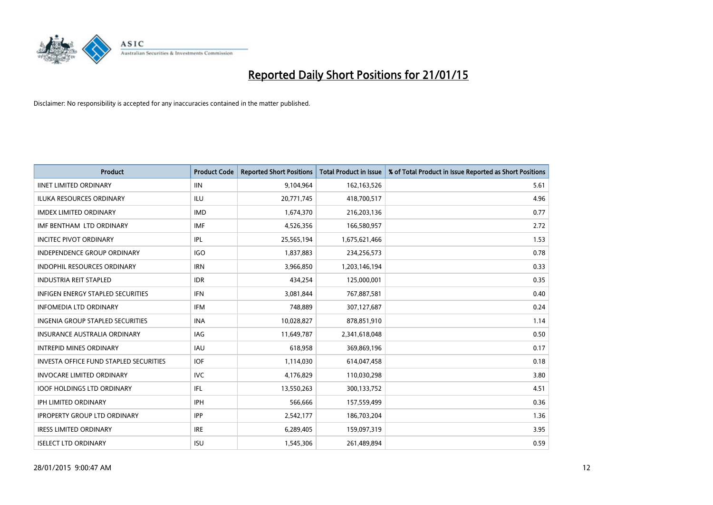

| <b>Product</b>                                | <b>Product Code</b> | <b>Reported Short Positions</b> | <b>Total Product in Issue</b> | % of Total Product in Issue Reported as Short Positions |
|-----------------------------------------------|---------------------|---------------------------------|-------------------------------|---------------------------------------------------------|
| <b>IINET LIMITED ORDINARY</b>                 | <b>IIN</b>          | 9,104,964                       | 162,163,526                   | 5.61                                                    |
| ILUKA RESOURCES ORDINARY                      | ILU                 | 20,771,745                      | 418,700,517                   | 4.96                                                    |
| <b>IMDEX LIMITED ORDINARY</b>                 | <b>IMD</b>          | 1,674,370                       | 216,203,136                   | 0.77                                                    |
| IMF BENTHAM LTD ORDINARY                      | <b>IMF</b>          | 4,526,356                       | 166,580,957                   | 2.72                                                    |
| <b>INCITEC PIVOT ORDINARY</b>                 | IPL                 | 25,565,194                      | 1,675,621,466                 | 1.53                                                    |
| INDEPENDENCE GROUP ORDINARY                   | <b>IGO</b>          | 1,837,883                       | 234,256,573                   | 0.78                                                    |
| <b>INDOPHIL RESOURCES ORDINARY</b>            | <b>IRN</b>          | 3,966,850                       | 1,203,146,194                 | 0.33                                                    |
| <b>INDUSTRIA REIT STAPLED</b>                 | <b>IDR</b>          | 434,254                         | 125,000,001                   | 0.35                                                    |
| <b>INFIGEN ENERGY STAPLED SECURITIES</b>      | <b>IFN</b>          | 3,081,844                       | 767,887,581                   | 0.40                                                    |
| <b>INFOMEDIA LTD ORDINARY</b>                 | <b>IFM</b>          | 748,889                         | 307,127,687                   | 0.24                                                    |
| INGENIA GROUP STAPLED SECURITIES              | <b>INA</b>          | 10,028,827                      | 878,851,910                   | 1.14                                                    |
| <b>INSURANCE AUSTRALIA ORDINARY</b>           | IAG                 | 11,649,787                      | 2,341,618,048                 | 0.50                                                    |
| <b>INTREPID MINES ORDINARY</b>                | <b>IAU</b>          | 618,958                         | 369,869,196                   | 0.17                                                    |
| <b>INVESTA OFFICE FUND STAPLED SECURITIES</b> | <b>IOF</b>          | 1,114,030                       | 614,047,458                   | 0.18                                                    |
| <b>INVOCARE LIMITED ORDINARY</b>              | <b>IVC</b>          | 4,176,829                       | 110,030,298                   | 3.80                                                    |
| <b>IOOF HOLDINGS LTD ORDINARY</b>             | IFL                 | 13,550,263                      | 300,133,752                   | 4.51                                                    |
| IPH LIMITED ORDINARY                          | IPH                 | 566,666                         | 157,559,499                   | 0.36                                                    |
| <b>IPROPERTY GROUP LTD ORDINARY</b>           | <b>IPP</b>          | 2,542,177                       | 186,703,204                   | 1.36                                                    |
| <b>IRESS LIMITED ORDINARY</b>                 | <b>IRE</b>          | 6,289,405                       | 159,097,319                   | 3.95                                                    |
| <b>ISELECT LTD ORDINARY</b>                   | <b>ISU</b>          | 1,545,306                       | 261,489,894                   | 0.59                                                    |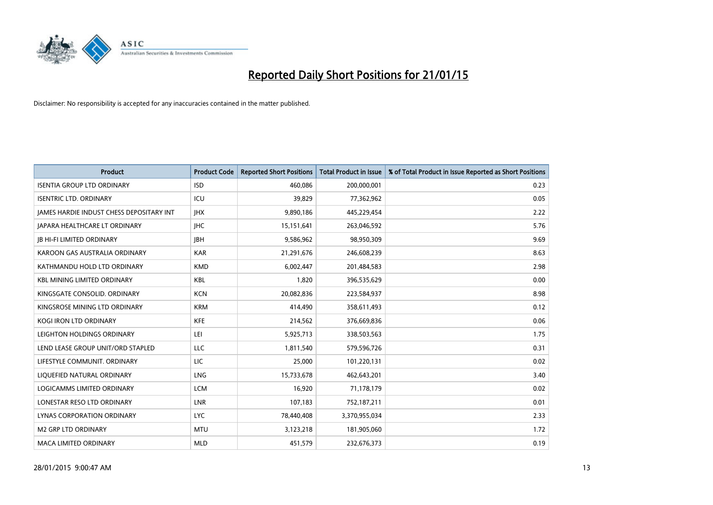

| <b>Product</b>                           | <b>Product Code</b> | <b>Reported Short Positions</b> | <b>Total Product in Issue</b> | % of Total Product in Issue Reported as Short Positions |
|------------------------------------------|---------------------|---------------------------------|-------------------------------|---------------------------------------------------------|
| <b>ISENTIA GROUP LTD ORDINARY</b>        | <b>ISD</b>          | 460,086                         | 200,000,001                   | 0.23                                                    |
| <b>ISENTRIC LTD. ORDINARY</b>            | ICU                 | 39,829                          | 77,362,962                    | 0.05                                                    |
| JAMES HARDIE INDUST CHESS DEPOSITARY INT | <b>IHX</b>          | 9,890,186                       | 445,229,454                   | 2.22                                                    |
| <b>JAPARA HEALTHCARE LT ORDINARY</b>     | <b>IHC</b>          | 15,151,641                      | 263,046,592                   | 5.76                                                    |
| <b>JB HI-FI LIMITED ORDINARY</b>         | <b>IBH</b>          | 9,586,962                       | 98,950,309                    | 9.69                                                    |
| KAROON GAS AUSTRALIA ORDINARY            | <b>KAR</b>          | 21,291,676                      | 246,608,239                   | 8.63                                                    |
| KATHMANDU HOLD LTD ORDINARY              | <b>KMD</b>          | 6,002,447                       | 201,484,583                   | 2.98                                                    |
| <b>KBL MINING LIMITED ORDINARY</b>       | <b>KBL</b>          | 1,820                           | 396,535,629                   | 0.00                                                    |
| KINGSGATE CONSOLID. ORDINARY             | <b>KCN</b>          | 20,082,836                      | 223,584,937                   | 8.98                                                    |
| KINGSROSE MINING LTD ORDINARY            | <b>KRM</b>          | 414,490                         | 358,611,493                   | 0.12                                                    |
| KOGI IRON LTD ORDINARY                   | <b>KFE</b>          | 214,562                         | 376,669,836                   | 0.06                                                    |
| LEIGHTON HOLDINGS ORDINARY               | LEI                 | 5,925,713                       | 338,503,563                   | 1.75                                                    |
| LEND LEASE GROUP UNIT/ORD STAPLED        | LLC                 | 1,811,540                       | 579,596,726                   | 0.31                                                    |
| LIFESTYLE COMMUNIT, ORDINARY             | LIC                 | 25,000                          | 101,220,131                   | 0.02                                                    |
| LIQUEFIED NATURAL ORDINARY               | LNG                 | 15,733,678                      | 462,643,201                   | 3.40                                                    |
| LOGICAMMS LIMITED ORDINARY               | <b>LCM</b>          | 16,920                          | 71,178,179                    | 0.02                                                    |
| LONESTAR RESO LTD ORDINARY               | LNR                 | 107,183                         | 752,187,211                   | 0.01                                                    |
| LYNAS CORPORATION ORDINARY               | <b>LYC</b>          | 78,440,408                      | 3,370,955,034                 | 2.33                                                    |
| <b>M2 GRP LTD ORDINARY</b>               | <b>MTU</b>          | 3,123,218                       | 181,905,060                   | 1.72                                                    |
| <b>MACA LIMITED ORDINARY</b>             | <b>MLD</b>          | 451,579                         | 232,676,373                   | 0.19                                                    |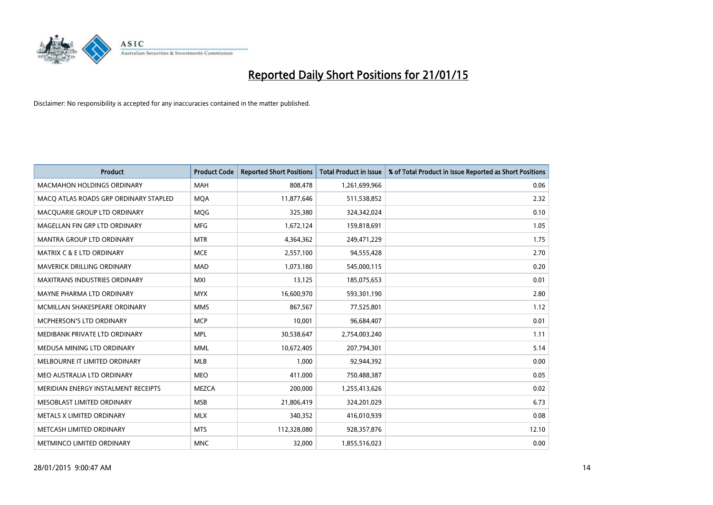

| <b>Product</b>                        | <b>Product Code</b> | <b>Reported Short Positions</b> | <b>Total Product in Issue</b> | % of Total Product in Issue Reported as Short Positions |
|---------------------------------------|---------------------|---------------------------------|-------------------------------|---------------------------------------------------------|
| <b>MACMAHON HOLDINGS ORDINARY</b>     | <b>MAH</b>          | 808,478                         | 1,261,699,966                 | 0.06                                                    |
| MACO ATLAS ROADS GRP ORDINARY STAPLED | <b>MQA</b>          | 11,877,646                      | 511,538,852                   | 2.32                                                    |
| MACQUARIE GROUP LTD ORDINARY          | <b>MOG</b>          | 325,380                         | 324,342,024                   | 0.10                                                    |
| MAGELLAN FIN GRP LTD ORDINARY         | <b>MFG</b>          | 1,672,124                       | 159,818,691                   | 1.05                                                    |
| <b>MANTRA GROUP LTD ORDINARY</b>      | <b>MTR</b>          | 4,364,362                       | 249,471,229                   | 1.75                                                    |
| <b>MATRIX C &amp; E LTD ORDINARY</b>  | <b>MCE</b>          | 2,557,100                       | 94,555,428                    | 2.70                                                    |
| <b>MAVERICK DRILLING ORDINARY</b>     | <b>MAD</b>          | 1,073,180                       | 545,000,115                   | 0.20                                                    |
| <b>MAXITRANS INDUSTRIES ORDINARY</b>  | <b>MXI</b>          | 13,125                          | 185,075,653                   | 0.01                                                    |
| MAYNE PHARMA LTD ORDINARY             | <b>MYX</b>          | 16,600,970                      | 593,301,190                   | 2.80                                                    |
| MCMILLAN SHAKESPEARE ORDINARY         | <b>MMS</b>          | 867,567                         | 77,525,801                    | 1.12                                                    |
| MCPHERSON'S LTD ORDINARY              | <b>MCP</b>          | 10,001                          | 96,684,407                    | 0.01                                                    |
| MEDIBANK PRIVATE LTD ORDINARY         | <b>MPL</b>          | 30,538,647                      | 2,754,003,240                 | 1.11                                                    |
| MEDUSA MINING LTD ORDINARY            | <b>MML</b>          | 10,672,405                      | 207,794,301                   | 5.14                                                    |
| MELBOURNE IT LIMITED ORDINARY         | <b>MLB</b>          | 1,000                           | 92,944,392                    | 0.00                                                    |
| MEO AUSTRALIA LTD ORDINARY            | <b>MEO</b>          | 411,000                         | 750,488,387                   | 0.05                                                    |
| MERIDIAN ENERGY INSTALMENT RECEIPTS   | <b>MEZCA</b>        | 200,000                         | 1,255,413,626                 | 0.02                                                    |
| MESOBLAST LIMITED ORDINARY            | <b>MSB</b>          | 21,806,419                      | 324,201,029                   | 6.73                                                    |
| METALS X LIMITED ORDINARY             | <b>MLX</b>          | 340,352                         | 416,010,939                   | 0.08                                                    |
| METCASH LIMITED ORDINARY              | <b>MTS</b>          | 112,328,080                     | 928,357,876                   | 12.10                                                   |
| METMINCO LIMITED ORDINARY             | <b>MNC</b>          | 32,000                          | 1,855,516,023                 | 0.00                                                    |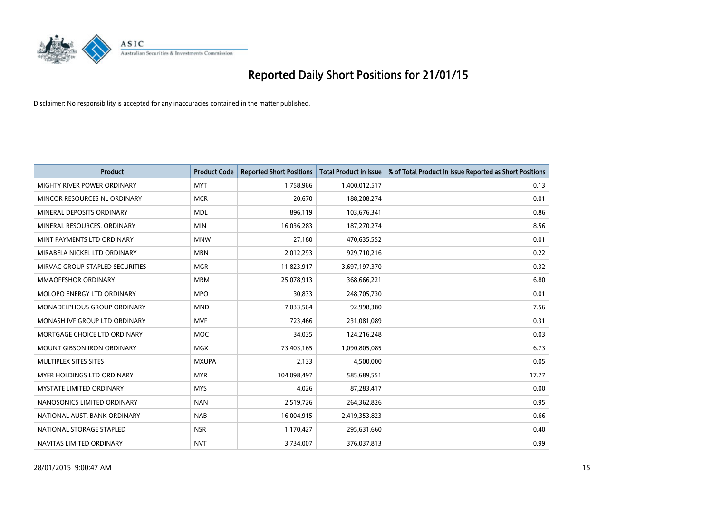

| <b>Product</b>                  | <b>Product Code</b> | <b>Reported Short Positions</b> | <b>Total Product in Issue</b> | % of Total Product in Issue Reported as Short Positions |
|---------------------------------|---------------------|---------------------------------|-------------------------------|---------------------------------------------------------|
| MIGHTY RIVER POWER ORDINARY     | <b>MYT</b>          | 1,758,966                       | 1,400,012,517                 | 0.13                                                    |
| MINCOR RESOURCES NL ORDINARY    | <b>MCR</b>          | 20,670                          | 188,208,274                   | 0.01                                                    |
| MINERAL DEPOSITS ORDINARY       | <b>MDL</b>          | 896,119                         | 103,676,341                   | 0.86                                                    |
| MINERAL RESOURCES. ORDINARY     | <b>MIN</b>          | 16,036,283                      | 187,270,274                   | 8.56                                                    |
| MINT PAYMENTS LTD ORDINARY      | <b>MNW</b>          | 27,180                          | 470,635,552                   | 0.01                                                    |
| MIRABELA NICKEL LTD ORDINARY    | <b>MBN</b>          | 2,012,293                       | 929,710,216                   | 0.22                                                    |
| MIRVAC GROUP STAPLED SECURITIES | <b>MGR</b>          | 11,823,917                      | 3,697,197,370                 | 0.32                                                    |
| MMAOFFSHOR ORDINARY             | <b>MRM</b>          | 25,078,913                      | 368,666,221                   | 6.80                                                    |
| MOLOPO ENERGY LTD ORDINARY      | <b>MPO</b>          | 30,833                          | 248,705,730                   | 0.01                                                    |
| MONADELPHOUS GROUP ORDINARY     | <b>MND</b>          | 7,033,564                       | 92,998,380                    | 7.56                                                    |
| MONASH IVF GROUP LTD ORDINARY   | <b>MVF</b>          | 723,466                         | 231,081,089                   | 0.31                                                    |
| MORTGAGE CHOICE LTD ORDINARY    | <b>MOC</b>          | 34,035                          | 124,216,248                   | 0.03                                                    |
| MOUNT GIBSON IRON ORDINARY      | <b>MGX</b>          | 73,403,165                      | 1,090,805,085                 | 6.73                                                    |
| MULTIPLEX SITES SITES           | <b>MXUPA</b>        | 2,133                           | 4,500,000                     | 0.05                                                    |
| MYER HOLDINGS LTD ORDINARY      | <b>MYR</b>          | 104,098,497                     | 585,689,551                   | 17.77                                                   |
| <b>MYSTATE LIMITED ORDINARY</b> | <b>MYS</b>          | 4,026                           | 87,283,417                    | 0.00                                                    |
| NANOSONICS LIMITED ORDINARY     | <b>NAN</b>          | 2,519,726                       | 264,362,826                   | 0.95                                                    |
| NATIONAL AUST. BANK ORDINARY    | <b>NAB</b>          | 16,004,915                      | 2,419,353,823                 | 0.66                                                    |
| NATIONAL STORAGE STAPLED        | <b>NSR</b>          | 1,170,427                       | 295,631,660                   | 0.40                                                    |
| NAVITAS LIMITED ORDINARY        | <b>NVT</b>          | 3,734,007                       | 376,037,813                   | 0.99                                                    |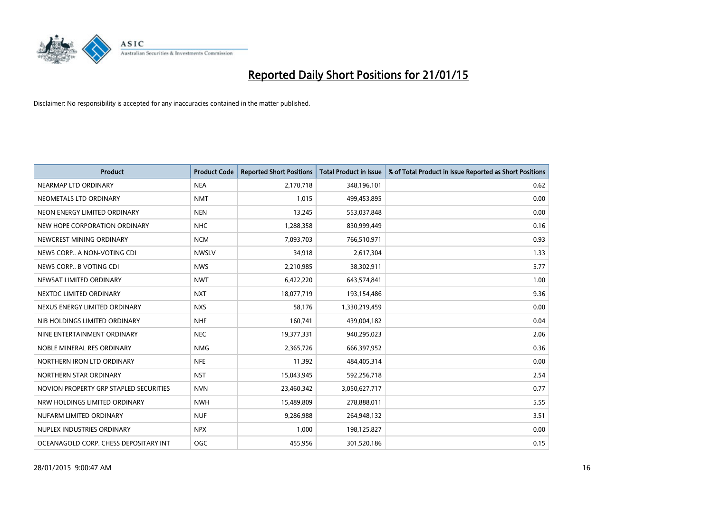

| <b>Product</b>                         | <b>Product Code</b> | <b>Reported Short Positions</b> | <b>Total Product in Issue</b> | % of Total Product in Issue Reported as Short Positions |
|----------------------------------------|---------------------|---------------------------------|-------------------------------|---------------------------------------------------------|
| NEARMAP LTD ORDINARY                   | <b>NEA</b>          | 2,170,718                       | 348,196,101                   | 0.62                                                    |
| NEOMETALS LTD ORDINARY                 | <b>NMT</b>          | 1,015                           | 499,453,895                   | 0.00                                                    |
| NEON ENERGY LIMITED ORDINARY           | <b>NEN</b>          | 13,245                          | 553,037,848                   | 0.00                                                    |
| NEW HOPE CORPORATION ORDINARY          | <b>NHC</b>          | 1,288,358                       | 830,999,449                   | 0.16                                                    |
| NEWCREST MINING ORDINARY               | <b>NCM</b>          | 7,093,703                       | 766,510,971                   | 0.93                                                    |
| NEWS CORP A NON-VOTING CDI             | <b>NWSLV</b>        | 34,918                          | 2,617,304                     | 1.33                                                    |
| NEWS CORP B VOTING CDI                 | <b>NWS</b>          | 2,210,985                       | 38,302,911                    | 5.77                                                    |
| NEWSAT LIMITED ORDINARY                | <b>NWT</b>          | 6,422,220                       | 643,574,841                   | 1.00                                                    |
| NEXTDC LIMITED ORDINARY                | <b>NXT</b>          | 18,077,719                      | 193,154,486                   | 9.36                                                    |
| NEXUS ENERGY LIMITED ORDINARY          | <b>NXS</b>          | 58,176                          | 1,330,219,459                 | 0.00                                                    |
| NIB HOLDINGS LIMITED ORDINARY          | <b>NHF</b>          | 160,741                         | 439,004,182                   | 0.04                                                    |
| NINE ENTERTAINMENT ORDINARY            | <b>NEC</b>          | 19,377,331                      | 940,295,023                   | 2.06                                                    |
| NOBLE MINERAL RES ORDINARY             | <b>NMG</b>          | 2,365,726                       | 666,397,952                   | 0.36                                                    |
| NORTHERN IRON LTD ORDINARY             | <b>NFE</b>          | 11,392                          | 484,405,314                   | 0.00                                                    |
| NORTHERN STAR ORDINARY                 | <b>NST</b>          | 15,043,945                      | 592,256,718                   | 2.54                                                    |
| NOVION PROPERTY GRP STAPLED SECURITIES | <b>NVN</b>          | 23,460,342                      | 3,050,627,717                 | 0.77                                                    |
| NRW HOLDINGS LIMITED ORDINARY          | <b>NWH</b>          | 15,489,809                      | 278,888,011                   | 5.55                                                    |
| NUFARM LIMITED ORDINARY                | <b>NUF</b>          | 9,286,988                       | 264,948,132                   | 3.51                                                    |
| NUPLEX INDUSTRIES ORDINARY             | <b>NPX</b>          | 1,000                           | 198,125,827                   | 0.00                                                    |
| OCEANAGOLD CORP. CHESS DEPOSITARY INT  | <b>OGC</b>          | 455,956                         | 301,520,186                   | 0.15                                                    |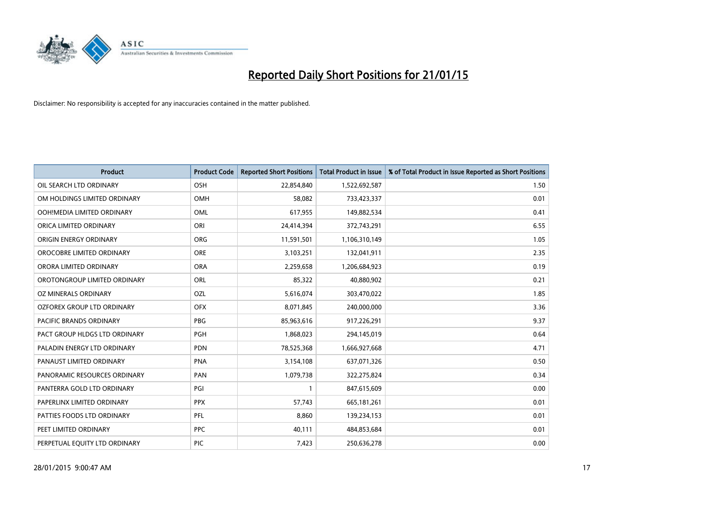

| <b>Product</b>                | <b>Product Code</b> | <b>Reported Short Positions</b> | <b>Total Product in Issue</b> | % of Total Product in Issue Reported as Short Positions |
|-------------------------------|---------------------|---------------------------------|-------------------------------|---------------------------------------------------------|
| OIL SEARCH LTD ORDINARY       | OSH                 | 22,854,840                      | 1,522,692,587                 | 1.50                                                    |
| OM HOLDINGS LIMITED ORDINARY  | OMH                 | 58,082                          | 733,423,337                   | 0.01                                                    |
| OOH!MEDIA LIMITED ORDINARY    | <b>OML</b>          | 617,955                         | 149,882,534                   | 0.41                                                    |
| ORICA LIMITED ORDINARY        | ORI                 | 24,414,394                      | 372,743,291                   | 6.55                                                    |
| ORIGIN ENERGY ORDINARY        | <b>ORG</b>          | 11,591,501                      | 1,106,310,149                 | 1.05                                                    |
| OROCOBRE LIMITED ORDINARY     | ORE                 | 3,103,251                       | 132,041,911                   | 2.35                                                    |
| ORORA LIMITED ORDINARY        | <b>ORA</b>          | 2,259,658                       | 1,206,684,923                 | 0.19                                                    |
| OROTONGROUP LIMITED ORDINARY  | ORL                 | 85,322                          | 40,880,902                    | 0.21                                                    |
| OZ MINERALS ORDINARY          | OZL                 | 5,616,074                       | 303,470,022                   | 1.85                                                    |
| OZFOREX GROUP LTD ORDINARY    | <b>OFX</b>          | 8,071,845                       | 240,000,000                   | 3.36                                                    |
| PACIFIC BRANDS ORDINARY       | <b>PBG</b>          | 85,963,616                      | 917,226,291                   | 9.37                                                    |
| PACT GROUP HLDGS LTD ORDINARY | <b>PGH</b>          | 1,868,023                       | 294,145,019                   | 0.64                                                    |
| PALADIN ENERGY LTD ORDINARY   | <b>PDN</b>          | 78,525,368                      | 1,666,927,668                 | 4.71                                                    |
| PANAUST LIMITED ORDINARY      | <b>PNA</b>          | 3,154,108                       | 637,071,326                   | 0.50                                                    |
| PANORAMIC RESOURCES ORDINARY  | PAN                 | 1,079,738                       | 322,275,824                   | 0.34                                                    |
| PANTERRA GOLD LTD ORDINARY    | PGI                 |                                 | 847,615,609                   | 0.00                                                    |
| PAPERLINX LIMITED ORDINARY    | <b>PPX</b>          | 57,743                          | 665,181,261                   | 0.01                                                    |
| PATTIES FOODS LTD ORDINARY    | PFL                 | 8,860                           | 139,234,153                   | 0.01                                                    |
| PEET LIMITED ORDINARY         | <b>PPC</b>          | 40,111                          | 484,853,684                   | 0.01                                                    |
| PERPETUAL EQUITY LTD ORDINARY | PIC                 | 7,423                           | 250,636,278                   | 0.00                                                    |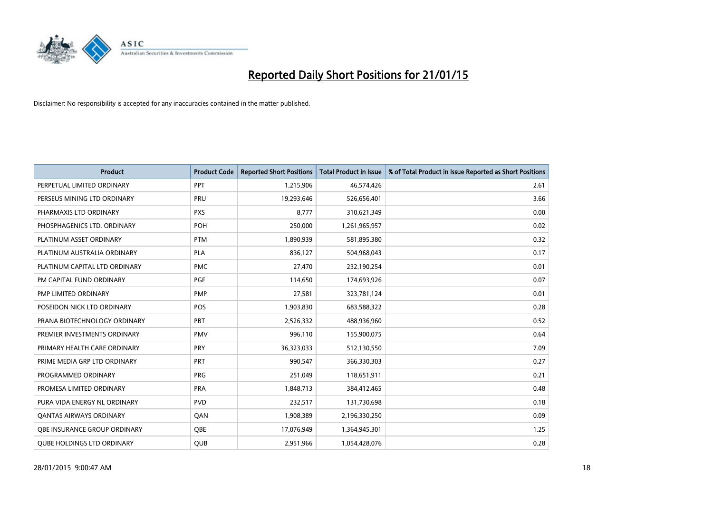

| <b>Product</b>                    | <b>Product Code</b> | <b>Reported Short Positions</b> | Total Product in Issue | % of Total Product in Issue Reported as Short Positions |
|-----------------------------------|---------------------|---------------------------------|------------------------|---------------------------------------------------------|
| PERPETUAL LIMITED ORDINARY        | <b>PPT</b>          | 1,215,906                       | 46,574,426             | 2.61                                                    |
| PERSEUS MINING LTD ORDINARY       | PRU                 | 19,293,646                      | 526,656,401            | 3.66                                                    |
| PHARMAXIS LTD ORDINARY            | <b>PXS</b>          | 8,777                           | 310,621,349            | 0.00                                                    |
| PHOSPHAGENICS LTD. ORDINARY       | POH                 | 250,000                         | 1,261,965,957          | 0.02                                                    |
| PLATINUM ASSET ORDINARY           | <b>PTM</b>          | 1,890,939                       | 581,895,380            | 0.32                                                    |
| PLATINUM AUSTRALIA ORDINARY       | <b>PLA</b>          | 836,127                         | 504,968,043            | 0.17                                                    |
| PLATINUM CAPITAL LTD ORDINARY     | <b>PMC</b>          | 27,470                          | 232,190,254            | 0.01                                                    |
| PM CAPITAL FUND ORDINARY          | PGF                 | 114,650                         | 174,693,926            | 0.07                                                    |
| PMP LIMITED ORDINARY              | <b>PMP</b>          | 27,581                          | 323,781,124            | 0.01                                                    |
| POSEIDON NICK LTD ORDINARY        | <b>POS</b>          | 1,903,830                       | 683,588,322            | 0.28                                                    |
| PRANA BIOTECHNOLOGY ORDINARY      | PBT                 | 2,526,332                       | 488,936,960            | 0.52                                                    |
| PREMIER INVESTMENTS ORDINARY      | <b>PMV</b>          | 996,110                         | 155,900,075            | 0.64                                                    |
| PRIMARY HEALTH CARE ORDINARY      | <b>PRY</b>          | 36,323,033                      | 512,130,550            | 7.09                                                    |
| PRIME MEDIA GRP LTD ORDINARY      | <b>PRT</b>          | 990.547                         | 366,330,303            | 0.27                                                    |
| PROGRAMMED ORDINARY               | <b>PRG</b>          | 251,049                         | 118,651,911            | 0.21                                                    |
| PROMESA LIMITED ORDINARY          | <b>PRA</b>          | 1,848,713                       | 384,412,465            | 0.48                                                    |
| PURA VIDA ENERGY NL ORDINARY      | <b>PVD</b>          | 232,517                         | 131,730,698            | 0.18                                                    |
| <b>QANTAS AIRWAYS ORDINARY</b>    | QAN                 | 1,908,389                       | 2,196,330,250          | 0.09                                                    |
| OBE INSURANCE GROUP ORDINARY      | <b>OBE</b>          | 17,076,949                      | 1,364,945,301          | 1.25                                                    |
| <b>OUBE HOLDINGS LTD ORDINARY</b> | <b>QUB</b>          | 2,951,966                       | 1,054,428,076          | 0.28                                                    |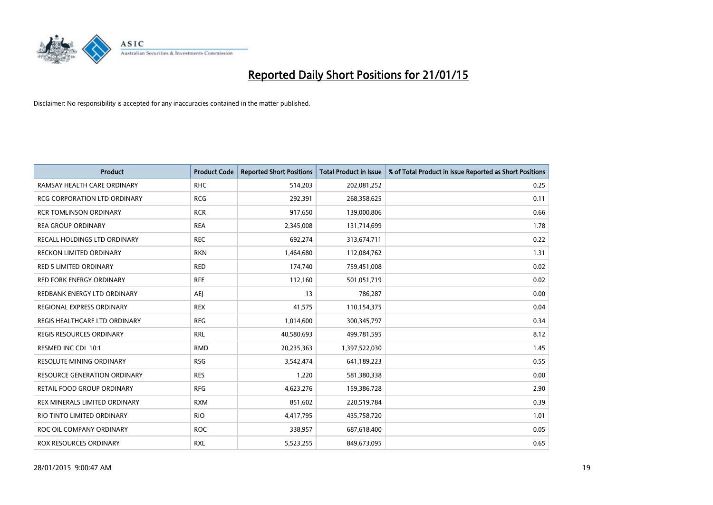

| <b>Product</b>                      | <b>Product Code</b> | <b>Reported Short Positions</b> | <b>Total Product in Issue</b> | % of Total Product in Issue Reported as Short Positions |
|-------------------------------------|---------------------|---------------------------------|-------------------------------|---------------------------------------------------------|
| RAMSAY HEALTH CARE ORDINARY         | <b>RHC</b>          | 514,203                         | 202,081,252                   | 0.25                                                    |
| RCG CORPORATION LTD ORDINARY        | <b>RCG</b>          | 292,391                         | 268,358,625                   | 0.11                                                    |
| <b>RCR TOMLINSON ORDINARY</b>       | <b>RCR</b>          | 917,650                         | 139,000,806                   | 0.66                                                    |
| <b>REA GROUP ORDINARY</b>           | <b>REA</b>          | 2,345,008                       | 131,714,699                   | 1.78                                                    |
| RECALL HOLDINGS LTD ORDINARY        | <b>REC</b>          | 692,274                         | 313,674,711                   | 0.22                                                    |
| <b>RECKON LIMITED ORDINARY</b>      | <b>RKN</b>          | 1,464,680                       | 112,084,762                   | 1.31                                                    |
| RED 5 LIMITED ORDINARY              | <b>RED</b>          | 174,740                         | 759,451,008                   | 0.02                                                    |
| RED FORK ENERGY ORDINARY            | <b>RFE</b>          | 112,160                         | 501,051,719                   | 0.02                                                    |
| REDBANK ENERGY LTD ORDINARY         | AEJ                 | 13                              | 786,287                       | 0.00                                                    |
| REGIONAL EXPRESS ORDINARY           | <b>REX</b>          | 41,575                          | 110,154,375                   | 0.04                                                    |
| REGIS HEALTHCARE LTD ORDINARY       | <b>REG</b>          | 1,014,600                       | 300, 345, 797                 | 0.34                                                    |
| <b>REGIS RESOURCES ORDINARY</b>     | <b>RRL</b>          | 40,580,693                      | 499,781,595                   | 8.12                                                    |
| RESMED INC CDI 10:1                 | <b>RMD</b>          | 20,235,363                      | 1,397,522,030                 | 1.45                                                    |
| <b>RESOLUTE MINING ORDINARY</b>     | <b>RSG</b>          | 3,542,474                       | 641,189,223                   | 0.55                                                    |
| <b>RESOURCE GENERATION ORDINARY</b> | <b>RES</b>          | 1,220                           | 581,380,338                   | 0.00                                                    |
| RETAIL FOOD GROUP ORDINARY          | <b>RFG</b>          | 4,623,276                       | 159,386,728                   | 2.90                                                    |
| REX MINERALS LIMITED ORDINARY       | <b>RXM</b>          | 851,602                         | 220,519,784                   | 0.39                                                    |
| RIO TINTO LIMITED ORDINARY          | <b>RIO</b>          | 4,417,795                       | 435,758,720                   | 1.01                                                    |
| ROC OIL COMPANY ORDINARY            | <b>ROC</b>          | 338,957                         | 687,618,400                   | 0.05                                                    |
| ROX RESOURCES ORDINARY              | <b>RXL</b>          | 5,523,255                       | 849,673,095                   | 0.65                                                    |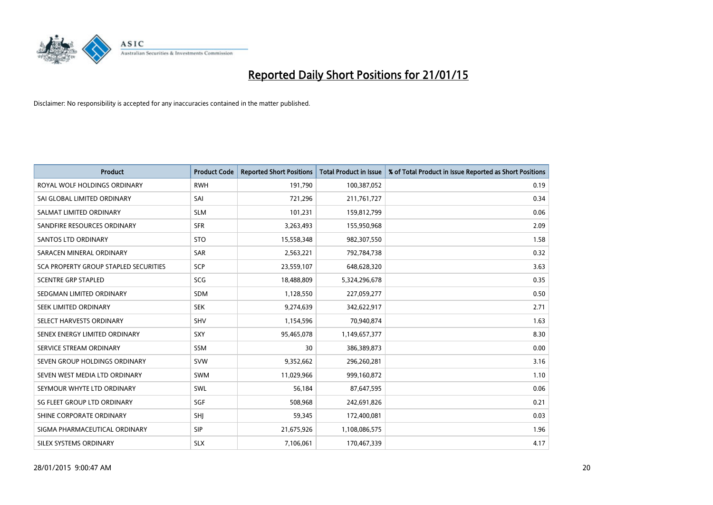

| <b>Product</b>                        | <b>Product Code</b> | <b>Reported Short Positions</b> | <b>Total Product in Issue</b> | % of Total Product in Issue Reported as Short Positions |
|---------------------------------------|---------------------|---------------------------------|-------------------------------|---------------------------------------------------------|
| ROYAL WOLF HOLDINGS ORDINARY          | <b>RWH</b>          | 191,790                         | 100,387,052                   | 0.19                                                    |
| SAI GLOBAL LIMITED ORDINARY           | SAI                 | 721,296                         | 211,761,727                   | 0.34                                                    |
| SALMAT LIMITED ORDINARY               | <b>SLM</b>          | 101,231                         | 159,812,799                   | 0.06                                                    |
| SANDFIRE RESOURCES ORDINARY           | <b>SFR</b>          | 3,263,493                       | 155,950,968                   | 2.09                                                    |
| SANTOS LTD ORDINARY                   | <b>STO</b>          | 15,558,348                      | 982,307,550                   | 1.58                                                    |
| SARACEN MINERAL ORDINARY              | <b>SAR</b>          | 2,563,221                       | 792,784,738                   | 0.32                                                    |
| SCA PROPERTY GROUP STAPLED SECURITIES | <b>SCP</b>          | 23,559,107                      | 648,628,320                   | 3.63                                                    |
| <b>SCENTRE GRP STAPLED</b>            | <b>SCG</b>          | 18,488,809                      | 5,324,296,678                 | 0.35                                                    |
| SEDGMAN LIMITED ORDINARY              | <b>SDM</b>          | 1,128,550                       | 227,059,277                   | 0.50                                                    |
| SEEK LIMITED ORDINARY                 | <b>SEK</b>          | 9,274,639                       | 342,622,917                   | 2.71                                                    |
| SELECT HARVESTS ORDINARY              | SHV                 | 1,154,596                       | 70,940,874                    | 1.63                                                    |
| SENEX ENERGY LIMITED ORDINARY         | <b>SXY</b>          | 95,465,078                      | 1,149,657,377                 | 8.30                                                    |
| SERVICE STREAM ORDINARY               | <b>SSM</b>          | 30                              | 386,389,873                   | 0.00                                                    |
| SEVEN GROUP HOLDINGS ORDINARY         | <b>SVW</b>          | 9,352,662                       | 296,260,281                   | 3.16                                                    |
| SEVEN WEST MEDIA LTD ORDINARY         | SWM                 | 11,029,966                      | 999,160,872                   | 1.10                                                    |
| SEYMOUR WHYTE LTD ORDINARY            | SWL                 | 56,184                          | 87,647,595                    | 0.06                                                    |
| SG FLEET GROUP LTD ORDINARY           | SGF                 | 508,968                         | 242,691,826                   | 0.21                                                    |
| SHINE CORPORATE ORDINARY              | SHJ                 | 59.345                          | 172,400,081                   | 0.03                                                    |
| SIGMA PHARMACEUTICAL ORDINARY         | <b>SIP</b>          | 21,675,926                      | 1,108,086,575                 | 1.96                                                    |
| SILEX SYSTEMS ORDINARY                | <b>SLX</b>          | 7,106,061                       | 170,467,339                   | 4.17                                                    |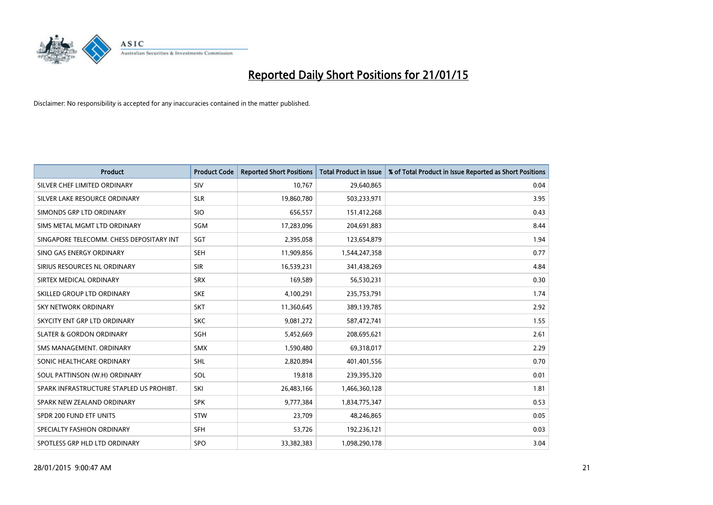

| <b>Product</b>                           | <b>Product Code</b> | <b>Reported Short Positions</b> | <b>Total Product in Issue</b> | % of Total Product in Issue Reported as Short Positions |
|------------------------------------------|---------------------|---------------------------------|-------------------------------|---------------------------------------------------------|
| SILVER CHEF LIMITED ORDINARY             | SIV                 | 10,767                          | 29,640,865                    | 0.04                                                    |
| SILVER LAKE RESOURCE ORDINARY            | <b>SLR</b>          | 19,860,780                      | 503,233,971                   | 3.95                                                    |
| SIMONDS GRP LTD ORDINARY                 | <b>SIO</b>          | 656,557                         | 151,412,268                   | 0.43                                                    |
| SIMS METAL MGMT LTD ORDINARY             | SGM                 | 17,283,096                      | 204,691,883                   | 8.44                                                    |
| SINGAPORE TELECOMM. CHESS DEPOSITARY INT | SGT                 | 2,395,058                       | 123,654,879                   | 1.94                                                    |
| SINO GAS ENERGY ORDINARY                 | SEH                 | 11,909,856                      | 1,544,247,358                 | 0.77                                                    |
| SIRIUS RESOURCES NL ORDINARY             | <b>SIR</b>          | 16,539,231                      | 341,438,269                   | 4.84                                                    |
| SIRTEX MEDICAL ORDINARY                  | <b>SRX</b>          | 169,589                         | 56,530,231                    | 0.30                                                    |
| SKILLED GROUP LTD ORDINARY               | <b>SKE</b>          | 4,100,291                       | 235,753,791                   | 1.74                                                    |
| <b>SKY NETWORK ORDINARY</b>              | <b>SKT</b>          | 11,360,645                      | 389,139,785                   | 2.92                                                    |
| SKYCITY ENT GRP LTD ORDINARY             | <b>SKC</b>          | 9,081,272                       | 587,472,741                   | 1.55                                                    |
| <b>SLATER &amp; GORDON ORDINARY</b>      | SGH                 | 5,452,669                       | 208,695,621                   | 2.61                                                    |
| SMS MANAGEMENT, ORDINARY                 | SMX                 | 1,590,480                       | 69,318,017                    | 2.29                                                    |
| SONIC HEALTHCARE ORDINARY                | SHL                 | 2,820,894                       | 401,401,556                   | 0.70                                                    |
| SOUL PATTINSON (W.H) ORDINARY            | SOL                 | 19,818                          | 239,395,320                   | 0.01                                                    |
| SPARK INFRASTRUCTURE STAPLED US PROHIBT. | SKI                 | 26,483,166                      | 1,466,360,128                 | 1.81                                                    |
| SPARK NEW ZEALAND ORDINARY               | <b>SPK</b>          | 9,777,384                       | 1,834,775,347                 | 0.53                                                    |
| SPDR 200 FUND ETF UNITS                  | <b>STW</b>          | 23,709                          | 48,246,865                    | 0.05                                                    |
| SPECIALTY FASHION ORDINARY               | <b>SFH</b>          | 53,726                          | 192,236,121                   | 0.03                                                    |
| SPOTLESS GRP HLD LTD ORDINARY            | <b>SPO</b>          | 33,382,383                      | 1,098,290,178                 | 3.04                                                    |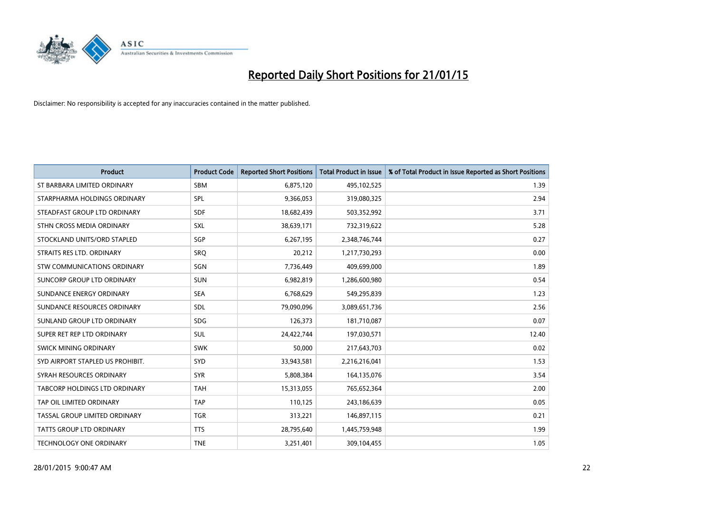

| <b>Product</b>                     | <b>Product Code</b> | <b>Reported Short Positions</b> | <b>Total Product in Issue</b> | % of Total Product in Issue Reported as Short Positions |
|------------------------------------|---------------------|---------------------------------|-------------------------------|---------------------------------------------------------|
| ST BARBARA LIMITED ORDINARY        | <b>SBM</b>          | 6,875,120                       | 495,102,525                   | 1.39                                                    |
| STARPHARMA HOLDINGS ORDINARY       | <b>SPL</b>          | 9,366,053                       | 319,080,325                   | 2.94                                                    |
| STEADFAST GROUP LTD ORDINARY       | <b>SDF</b>          | 18,682,439                      | 503,352,992                   | 3.71                                                    |
| STHN CROSS MEDIA ORDINARY          | <b>SXL</b>          | 38,639,171                      | 732,319,622                   | 5.28                                                    |
| STOCKLAND UNITS/ORD STAPLED        | SGP                 | 6,267,195                       | 2,348,746,744                 | 0.27                                                    |
| STRAITS RES LTD. ORDINARY          | SRQ                 | 20,212                          | 1,217,730,293                 | 0.00                                                    |
| <b>STW COMMUNICATIONS ORDINARY</b> | SGN                 | 7,736,449                       | 409,699,000                   | 1.89                                                    |
| SUNCORP GROUP LTD ORDINARY         | <b>SUN</b>          | 6,982,819                       | 1,286,600,980                 | 0.54                                                    |
| SUNDANCE ENERGY ORDINARY           | <b>SEA</b>          | 6,768,629                       | 549,295,839                   | 1.23                                                    |
| SUNDANCE RESOURCES ORDINARY        | <b>SDL</b>          | 79,090,096                      | 3,089,651,736                 | 2.56                                                    |
| SUNLAND GROUP LTD ORDINARY         | <b>SDG</b>          | 126,373                         | 181,710,087                   | 0.07                                                    |
| SUPER RET REP LTD ORDINARY         | SUL                 | 24,422,744                      | 197,030,571                   | 12.40                                                   |
| SWICK MINING ORDINARY              | <b>SWK</b>          | 50,000                          | 217,643,703                   | 0.02                                                    |
| SYD AIRPORT STAPLED US PROHIBIT.   | SYD                 | 33,943,581                      | 2,216,216,041                 | 1.53                                                    |
| SYRAH RESOURCES ORDINARY           | <b>SYR</b>          | 5,808,384                       | 164,135,076                   | 3.54                                                    |
| TABCORP HOLDINGS LTD ORDINARY      | <b>TAH</b>          | 15,313,055                      | 765,652,364                   | 2.00                                                    |
| TAP OIL LIMITED ORDINARY           | <b>TAP</b>          | 110,125                         | 243,186,639                   | 0.05                                                    |
| TASSAL GROUP LIMITED ORDINARY      | <b>TGR</b>          | 313,221                         | 146,897,115                   | 0.21                                                    |
| <b>TATTS GROUP LTD ORDINARY</b>    | <b>TTS</b>          | 28,795,640                      | 1,445,759,948                 | 1.99                                                    |
| <b>TECHNOLOGY ONE ORDINARY</b>     | <b>TNE</b>          | 3,251,401                       | 309,104,455                   | 1.05                                                    |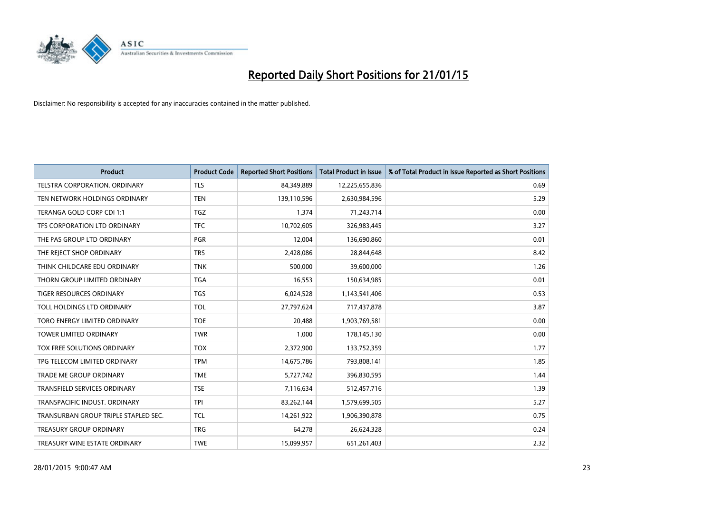

| <b>Product</b>                       | <b>Product Code</b> | <b>Reported Short Positions</b> | <b>Total Product in Issue</b> | % of Total Product in Issue Reported as Short Positions |
|--------------------------------------|---------------------|---------------------------------|-------------------------------|---------------------------------------------------------|
| <b>TELSTRA CORPORATION, ORDINARY</b> | <b>TLS</b>          | 84,349,889                      | 12,225,655,836                | 0.69                                                    |
| TEN NETWORK HOLDINGS ORDINARY        | <b>TEN</b>          | 139,110,596                     | 2,630,984,596                 | 5.29                                                    |
| TERANGA GOLD CORP CDI 1:1            | <b>TGZ</b>          | 1,374                           | 71,243,714                    | 0.00                                                    |
| TFS CORPORATION LTD ORDINARY         | <b>TFC</b>          | 10,702,605                      | 326,983,445                   | 3.27                                                    |
| THE PAS GROUP LTD ORDINARY           | <b>PGR</b>          | 12,004                          | 136,690,860                   | 0.01                                                    |
| THE REJECT SHOP ORDINARY             | <b>TRS</b>          | 2,428,086                       | 28,844,648                    | 8.42                                                    |
| THINK CHILDCARE EDU ORDINARY         | <b>TNK</b>          | 500,000                         | 39,600,000                    | 1.26                                                    |
| THORN GROUP LIMITED ORDINARY         | <b>TGA</b>          | 16,553                          | 150,634,985                   | 0.01                                                    |
| TIGER RESOURCES ORDINARY             | <b>TGS</b>          | 6,024,528                       | 1,143,541,406                 | 0.53                                                    |
| TOLL HOLDINGS LTD ORDINARY           | <b>TOL</b>          | 27,797,624                      | 717,437,878                   | 3.87                                                    |
| TORO ENERGY LIMITED ORDINARY         | <b>TOE</b>          | 20,488                          | 1,903,769,581                 | 0.00                                                    |
| <b>TOWER LIMITED ORDINARY</b>        | <b>TWR</b>          | 1,000                           | 178,145,130                   | 0.00                                                    |
| TOX FREE SOLUTIONS ORDINARY          | <b>TOX</b>          | 2,372,900                       | 133,752,359                   | 1.77                                                    |
| TPG TELECOM LIMITED ORDINARY         | <b>TPM</b>          | 14,675,786                      | 793,808,141                   | 1.85                                                    |
| TRADE ME GROUP ORDINARY              | <b>TME</b>          | 5,727,742                       | 396,830,595                   | 1.44                                                    |
| <b>TRANSFIELD SERVICES ORDINARY</b>  | <b>TSE</b>          | 7,116,634                       | 512,457,716                   | 1.39                                                    |
| TRANSPACIFIC INDUST, ORDINARY        | <b>TPI</b>          | 83,262,144                      | 1,579,699,505                 | 5.27                                                    |
| TRANSURBAN GROUP TRIPLE STAPLED SEC. | <b>TCL</b>          | 14,261,922                      | 1,906,390,878                 | 0.75                                                    |
| <b>TREASURY GROUP ORDINARY</b>       | <b>TRG</b>          | 64,278                          | 26,624,328                    | 0.24                                                    |
| TREASURY WINE ESTATE ORDINARY        | <b>TWE</b>          | 15,099,957                      | 651,261,403                   | 2.32                                                    |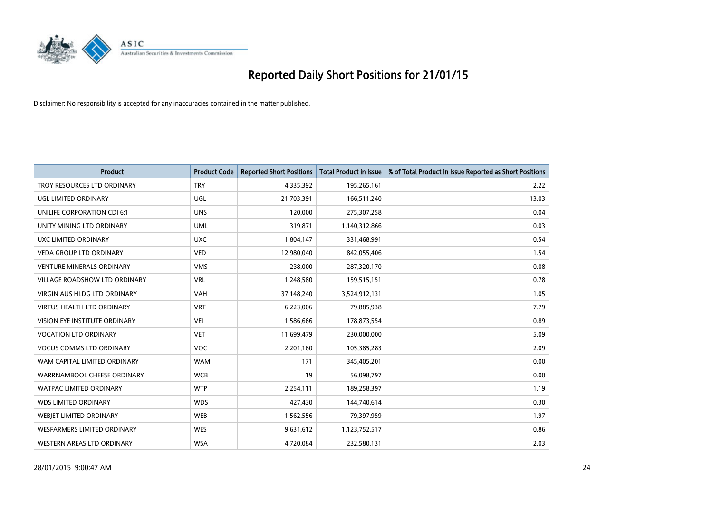

| <b>Product</b>                     | <b>Product Code</b> | <b>Reported Short Positions</b> | <b>Total Product in Issue</b> | % of Total Product in Issue Reported as Short Positions |
|------------------------------------|---------------------|---------------------------------|-------------------------------|---------------------------------------------------------|
| TROY RESOURCES LTD ORDINARY        | <b>TRY</b>          | 4,335,392                       | 195,265,161                   | 2.22                                                    |
| UGL LIMITED ORDINARY               | UGL                 | 21,703,391                      | 166,511,240                   | 13.03                                                   |
| UNILIFE CORPORATION CDI 6:1        | <b>UNS</b>          | 120,000                         | 275,307,258                   | 0.04                                                    |
| UNITY MINING LTD ORDINARY          | <b>UML</b>          | 319,871                         | 1,140,312,866                 | 0.03                                                    |
| <b>UXC LIMITED ORDINARY</b>        | <b>UXC</b>          | 1,804,147                       | 331,468,991                   | 0.54                                                    |
| <b>VEDA GROUP LTD ORDINARY</b>     | <b>VED</b>          | 12,980,040                      | 842,055,406                   | 1.54                                                    |
| <b>VENTURE MINERALS ORDINARY</b>   | <b>VMS</b>          | 238,000                         | 287,320,170                   | 0.08                                                    |
| VILLAGE ROADSHOW LTD ORDINARY      | <b>VRL</b>          | 1,248,580                       | 159,515,151                   | 0.78                                                    |
| VIRGIN AUS HLDG LTD ORDINARY       | <b>VAH</b>          | 37,148,240                      | 3,524,912,131                 | 1.05                                                    |
| <b>VIRTUS HEALTH LTD ORDINARY</b>  | <b>VRT</b>          | 6,223,006                       | 79,885,938                    | 7.79                                                    |
| VISION EYE INSTITUTE ORDINARY      | <b>VEI</b>          | 1,586,666                       | 178,873,554                   | 0.89                                                    |
| <b>VOCATION LTD ORDINARY</b>       | <b>VET</b>          | 11,699,479                      | 230,000,000                   | 5.09                                                    |
| <b>VOCUS COMMS LTD ORDINARY</b>    | <b>VOC</b>          | 2,201,160                       | 105,385,283                   | 2.09                                                    |
| WAM CAPITAL LIMITED ORDINARY       | <b>WAM</b>          | 171                             | 345,405,201                   | 0.00                                                    |
| WARRNAMBOOL CHEESE ORDINARY        | <b>WCB</b>          | 19                              | 56,098,797                    | 0.00                                                    |
| <b>WATPAC LIMITED ORDINARY</b>     | <b>WTP</b>          | 2,254,111                       | 189,258,397                   | 1.19                                                    |
| <b>WDS LIMITED ORDINARY</b>        | <b>WDS</b>          | 427,430                         | 144,740,614                   | 0.30                                                    |
| WEBJET LIMITED ORDINARY            | <b>WEB</b>          | 1,562,556                       | 79,397,959                    | 1.97                                                    |
| <b>WESFARMERS LIMITED ORDINARY</b> | <b>WES</b>          | 9,631,612                       | 1,123,752,517                 | 0.86                                                    |
| WESTERN AREAS LTD ORDINARY         | <b>WSA</b>          | 4,720,084                       | 232,580,131                   | 2.03                                                    |